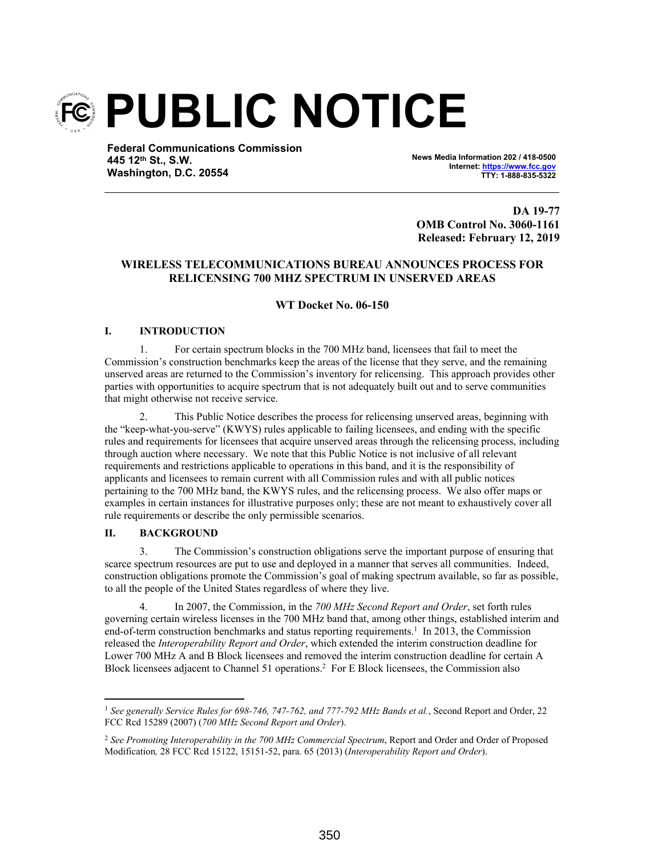

**Federal Communications Commission 445 12th St., S.W. Washington, D.C. 20554**

**News Media Information 202 / 418-0500 Internet: https://www.fcc.gov TTY: 1-888-835-5322**

**DA 19-77 OMB Control No. 3060-1161 Released: February 12, 2019**

# **WIRELESS TELECOMMUNICATIONS BUREAU ANNOUNCES PROCESS FOR RELICENSING 700 MHZ SPECTRUM IN UNSERVED AREAS**

## **WT Docket No. 06-150**

## **I. INTRODUCTION**

1. For certain spectrum blocks in the 700 MHz band, licensees that fail to meet the Commission's construction benchmarks keep the areas of the license that they serve, and the remaining unserved areas are returned to the Commission's inventory for relicensing. This approach provides other parties with opportunities to acquire spectrum that is not adequately built out and to serve communities that might otherwise not receive service.

2. This Public Notice describes the process for relicensing unserved areas, beginning with the "keep-what-you-serve" (KWYS) rules applicable to failing licensees, and ending with the specific rules and requirements for licensees that acquire unserved areas through the relicensing process, including through auction where necessary. We note that this Public Notice is not inclusive of all relevant requirements and restrictions applicable to operations in this band, and it is the responsibility of applicants and licensees to remain current with all Commission rules and with all public notices pertaining to the 700 MHz band, the KWYS rules, and the relicensing process. We also offer maps or examples in certain instances for illustrative purposes only; these are not meant to exhaustively cover all rule requirements or describe the only permissible scenarios.

## **II. BACKGROUND**

3. The Commission's construction obligations serve the important purpose of ensuring that scarce spectrum resources are put to use and deployed in a manner that serves all communities. Indeed, construction obligations promote the Commission's goal of making spectrum available, so far as possible, to all the people of the United States regardless of where they live.

4. In 2007, the Commission, in the *700 MHz Second Report and Order*, set forth rules governing certain wireless licenses in the 700 MHz band that, among other things, established interim and end-of-term construction benchmarks and status reporting requirements.<sup>1</sup> In 2013, the Commission released the *Interoperability Report and Order*, which extended the interim construction deadline for Lower 700 MHz A and B Block licensees and removed the interim construction deadline for certain A Block licensees adjacent to Channel 51 operations.<sup>2</sup> For E Block licensees, the Commission also

<sup>1</sup> *See generally Service Rules for 698-746, 747-762, and 777-792 MHz Bands et al.*, Second Report and Order, 22 FCC Rcd 15289 (2007) (*700 MHz Second Report and Order*).

<sup>2</sup> *See Promoting Interoperability in the 700 MHz Commercial Spectrum*, Report and Order and Order of Proposed Modification*,* 28 FCC Rcd 15122, 15151-52, para. 65 (2013) (*Interoperability Report and Order*).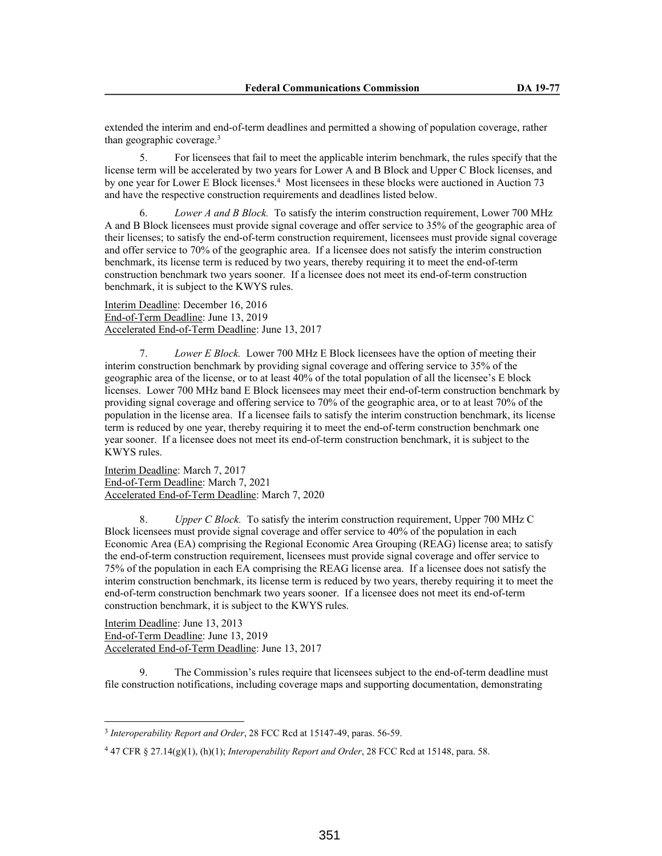extended the interim and end-of-term deadlines and permitted a showing of population coverage, rather than geographic coverage.<sup>3</sup>

5. For licensees that fail to meet the applicable interim benchmark, the rules specify that the license term will be accelerated by two years for Lower A and B Block and Upper C Block licenses, and by one year for Lower E Block licenses.<sup>4</sup> Most licensees in these blocks were auctioned in Auction 73 and have the respective construction requirements and deadlines listed below.

6. *Lower A and B Block.* To satisfy the interim construction requirement, Lower 700 MHz A and B Block licensees must provide signal coverage and offer service to 35% of the geographic area of their licenses; to satisfy the end-of-term construction requirement, licensees must provide signal coverage and offer service to 70% of the geographic area. If a licensee does not satisfy the interim construction benchmark, its license term is reduced by two years, thereby requiring it to meet the end-of-term construction benchmark two years sooner. If a licensee does not meet its end-of-term construction benchmark, it is subject to the KWYS rules.

Interim Deadline: December 16, 2016 End-of-Term Deadline: June 13, 2019 Accelerated End-of-Term Deadline: June 13, 2017

7. *Lower E Block.* Lower 700 MHz E Block licensees have the option of meeting their interim construction benchmark by providing signal coverage and offering service to 35% of the geographic area of the license, or to at least 40% of the total population of all the licensee's E block licenses. Lower 700 MHz band E Block licensees may meet their end-of-term construction benchmark by providing signal coverage and offering service to 70% of the geographic area, or to at least 70% of the population in the license area. If a licensee fails to satisfy the interim construction benchmark, its license term is reduced by one year, thereby requiring it to meet the end-of-term construction benchmark one year sooner. If a licensee does not meet its end-of-term construction benchmark, it is subject to the KWYS rules.

Interim Deadline: March 7, 2017 End-of-Term Deadline: March 7, 2021 Accelerated End-of-Term Deadline: March 7, 2020

8. *Upper C Block.* To satisfy the interim construction requirement, Upper 700 MHz C Block licensees must provide signal coverage and offer service to 40% of the population in each Economic Area (EA) comprising the Regional Economic Area Grouping (REAG) license area; to satisfy the end-of-term construction requirement, licensees must provide signal coverage and offer service to 75% of the population in each EA comprising the REAG license area. If a licensee does not satisfy the interim construction benchmark, its license term is reduced by two years, thereby requiring it to meet the end-of-term construction benchmark two years sooner. If a licensee does not meet its end-of-term construction benchmark, it is subject to the KWYS rules.

Interim Deadline: June 13, 2013 End-of-Term Deadline: June 13, 2019 Accelerated End-of-Term Deadline: June 13, 2017

9. The Commission's rules require that licensees subject to the end-of-term deadline must file construction notifications, including coverage maps and supporting documentation, demonstrating

<sup>3</sup> *Interoperability Report and Order*, 28 FCC Rcd at 15147-49, paras. 56-59.

<sup>4</sup> 47 CFR § 27.14(g)(1), (h)(1); *Interoperability Report and Order*, 28 FCC Rcd at 15148, para. 58.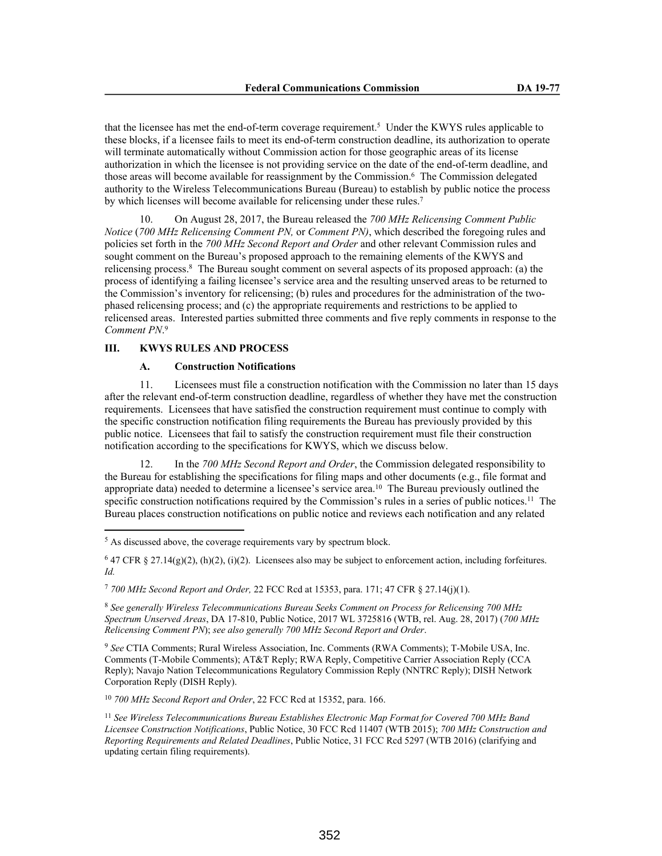that the licensee has met the end-of-term coverage requirement.<sup>5</sup> Under the KWYS rules applicable to these blocks, if a licensee fails to meet its end-of-term construction deadline, its authorization to operate will terminate automatically without Commission action for those geographic areas of its license authorization in which the licensee is not providing service on the date of the end-of-term deadline, and those areas will become available for reassignment by the Commission.<sup>6</sup> The Commission delegated authority to the Wireless Telecommunications Bureau (Bureau) to establish by public notice the process by which licenses will become available for relicensing under these rules.<sup>7</sup>

10. On August 28, 2017, the Bureau released the *700 MHz Relicensing Comment Public Notice* (*700 MHz Relicensing Comment PN,* or *Comment PN)*, which described the foregoing rules and policies set forth in the *700 MHz Second Report and Order* and other relevant Commission rules and sought comment on the Bureau's proposed approach to the remaining elements of the KWYS and relicensing process.<sup>8</sup> The Bureau sought comment on several aspects of its proposed approach: (a) the process of identifying a failing licensee's service area and the resulting unserved areas to be returned to the Commission's inventory for relicensing; (b) rules and procedures for the administration of the twophased relicensing process; and (c) the appropriate requirements and restrictions to be applied to relicensed areas. Interested parties submitted three comments and five reply comments in response to the *Comment PN*. 9

#### **III. KWYS RULES AND PROCESS**

### **A. Construction Notifications**

11. Licensees must file a construction notification with the Commission no later than 15 days after the relevant end-of-term construction deadline, regardless of whether they have met the construction requirements. Licensees that have satisfied the construction requirement must continue to comply with the specific construction notification filing requirements the Bureau has previously provided by this public notice. Licensees that fail to satisfy the construction requirement must file their construction notification according to the specifications for KWYS, which we discuss below.

12. In the *700 MHz Second Report and Order*, the Commission delegated responsibility to the Bureau for establishing the specifications for filing maps and other documents (e.g., file format and appropriate data) needed to determine a licensee's service area.<sup>10</sup> The Bureau previously outlined the specific construction notifications required by the Commission's rules in a series of public notices.<sup>11</sup> The Bureau places construction notifications on public notice and reviews each notification and any related

 $647$  CFR § 27.14(g)(2), (h)(2), (i)(2). Licensees also may be subject to enforcement action, including forfeitures. *Id.*

<sup>7</sup> *700 MHz Second Report and Order,* 22 FCC Rcd at 15353, para. 171; 47 CFR § 27.14(j)(1).

<sup>8</sup> *See generally Wireless Telecommunications Bureau Seeks Comment on Process for Relicensing 700 MHz Spectrum Unserved Areas*, DA 17-810, Public Notice, 2017 WL 3725816 (WTB, rel. Aug. 28, 2017) (*700 MHz Relicensing Comment PN*); *see also generally 700 MHz Second Report and Order*.

<sup>9</sup> *See* CTIA Comments; Rural Wireless Association, Inc. Comments (RWA Comments); T-Mobile USA, Inc. Comments (T-Mobile Comments); AT&T Reply; RWA Reply, Competitive Carrier Association Reply (CCA Reply); Navajo Nation Telecommunications Regulatory Commission Reply (NNTRC Reply); DISH Network Corporation Reply (DISH Reply).

<sup>10</sup> *700 MHz Second Report and Order*, 22 FCC Rcd at 15352, para. 166.

<sup>&</sup>lt;sup>5</sup> As discussed above, the coverage requirements vary by spectrum block.

<sup>11</sup> *See Wireless Telecommunications Bureau Establishes Electronic Map Format for Covered 700 MHz Band Licensee Construction Notifications*, Public Notice, 30 FCC Rcd 11407 (WTB 2015); *700 MHz Construction and Reporting Requirements and Related Deadlines*, Public Notice, 31 FCC Rcd 5297 (WTB 2016) (clarifying and updating certain filing requirements).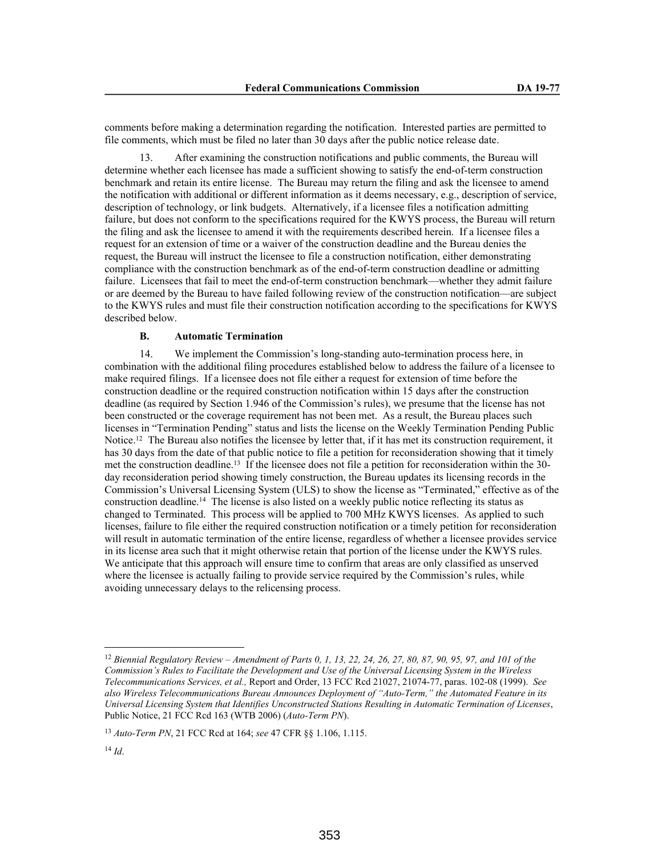comments before making a determination regarding the notification. Interested parties are permitted to file comments, which must be filed no later than 30 days after the public notice release date.

After examining the construction notifications and public comments, the Bureau will determine whether each licensee has made a sufficient showing to satisfy the end-of-term construction benchmark and retain its entire license. The Bureau may return the filing and ask the licensee to amend the notification with additional or different information as it deems necessary, e.g., description of service, description of technology, or link budgets. Alternatively, if a licensee files a notification admitting failure, but does not conform to the specifications required for the KWYS process, the Bureau will return the filing and ask the licensee to amend it with the requirements described herein. If a licensee files a request for an extension of time or a waiver of the construction deadline and the Bureau denies the request, the Bureau will instruct the licensee to file a construction notification, either demonstrating compliance with the construction benchmark as of the end-of-term construction deadline or admitting failure. Licensees that fail to meet the end-of-term construction benchmark—whether they admit failure or are deemed by the Bureau to have failed following review of the construction notification—are subject to the KWYS rules and must file their construction notification according to the specifications for KWYS described below.

### **B. Automatic Termination**

14. We implement the Commission's long-standing auto-termination process here, in combination with the additional filing procedures established below to address the failure of a licensee to make required filings. If a licensee does not file either a request for extension of time before the construction deadline or the required construction notification within 15 days after the construction deadline (as required by Section 1.946 of the Commission's rules), we presume that the license has not been constructed or the coverage requirement has not been met. As a result, the Bureau places such licenses in "Termination Pending" status and lists the license on the Weekly Termination Pending Public Notice.<sup>12</sup> The Bureau also notifies the licensee by letter that, if it has met its construction requirement, it has 30 days from the date of that public notice to file a petition for reconsideration showing that it timely met the construction deadline.<sup>13</sup> If the licensee does not file a petition for reconsideration within the 30 day reconsideration period showing timely construction, the Bureau updates its licensing records in the Commission's Universal Licensing System (ULS) to show the license as "Terminated," effective as of the construction deadline.<sup>14</sup> The license is also listed on a weekly public notice reflecting its status as changed to Terminated. This process will be applied to 700 MHz KWYS licenses. As applied to such licenses, failure to file either the required construction notification or a timely petition for reconsideration will result in automatic termination of the entire license, regardless of whether a licensee provides service in its license area such that it might otherwise retain that portion of the license under the KWYS rules. We anticipate that this approach will ensure time to confirm that areas are only classified as unserved where the licensee is actually failing to provide service required by the Commission's rules, while avoiding unnecessary delays to the relicensing process.

<sup>12</sup> *Biennial Regulatory Review – Amendment of Parts 0, 1, 13, 22, 24, 26, 27, 80, 87, 90, 95, 97, and 101 of the Commission's Rules to Facilitate the Development and Use of the Universal Licensing System in the Wireless Telecommunications Services, et al.,* Report and Order, 13 FCC Rcd 21027, 21074-77, paras. 102-08 (1999). *See also Wireless Telecommunications Bureau Announces Deployment of "Auto-Term," the Automated Feature in its Universal Licensing System that Identifies Unconstructed Stations Resulting in Automatic Termination of Licenses*, Public Notice, 21 FCC Rcd 163 (WTB 2006) (*Auto-Term PN*).

<sup>13</sup> *Auto-Term PN*, 21 FCC Rcd at 164; *see* 47 CFR §§ 1.106, 1.115.

<sup>14</sup> *Id*.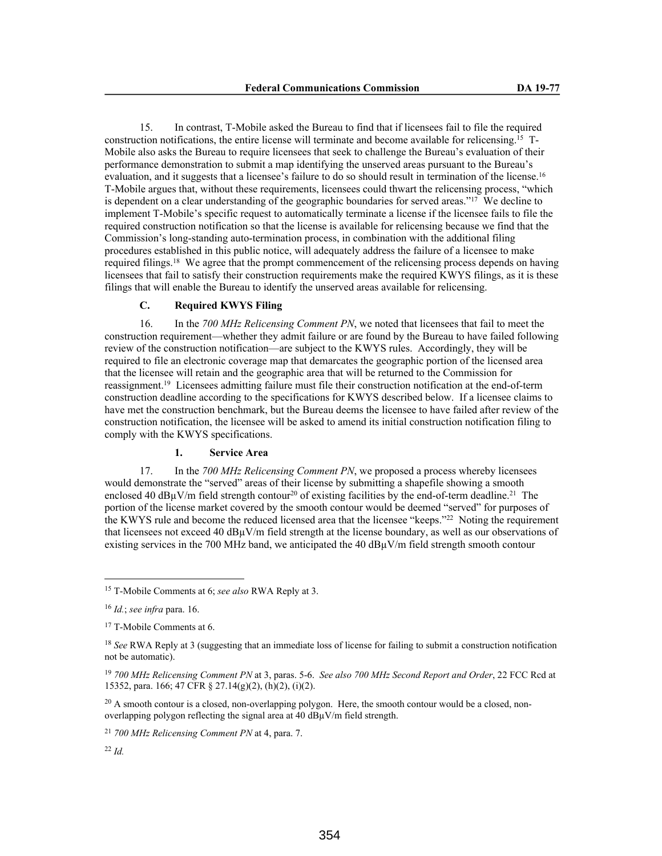15. In contrast, T-Mobile asked the Bureau to find that if licensees fail to file the required construction notifications, the entire license will terminate and become available for relicensing.15 T-Mobile also asks the Bureau to require licensees that seek to challenge the Bureau's evaluation of their performance demonstration to submit a map identifying the unserved areas pursuant to the Bureau's evaluation, and it suggests that a licensee's failure to do so should result in termination of the license.<sup>16</sup> T-Mobile argues that, without these requirements, licensees could thwart the relicensing process, "which is dependent on a clear understanding of the geographic boundaries for served areas."<sup>17</sup> We decline to implement T-Mobile's specific request to automatically terminate a license if the licensee fails to file the required construction notification so that the license is available for relicensing because we find that the Commission's long-standing auto-termination process, in combination with the additional filing procedures established in this public notice, will adequately address the failure of a licensee to make required filings.<sup>18</sup> We agree that the prompt commencement of the relicensing process depends on having licensees that fail to satisfy their construction requirements make the required KWYS filings, as it is these filings that will enable the Bureau to identify the unserved areas available for relicensing.

# **C. Required KWYS Filing**

16. In the *700 MHz Relicensing Comment PN*, we noted that licensees that fail to meet the construction requirement—whether they admit failure or are found by the Bureau to have failed following review of the construction notification—are subject to the KWYS rules. Accordingly, they will be required to file an electronic coverage map that demarcates the geographic portion of the licensed area that the licensee will retain and the geographic area that will be returned to the Commission for reassignment.<sup>19</sup> Licensees admitting failure must file their construction notification at the end-of-term construction deadline according to the specifications for KWYS described below. If a licensee claims to have met the construction benchmark, but the Bureau deems the licensee to have failed after review of the construction notification, the licensee will be asked to amend its initial construction notification filing to comply with the KWYS specifications.

# **1. Service Area**

17. In the *700 MHz Relicensing Comment PN*, we proposed a process whereby licensees would demonstrate the "served" areas of their license by submitting a shapefile showing a smooth enclosed 40 dB<sub>u</sub>V/m field strength contour<sup>20</sup> of existing facilities by the end-of-term deadline.<sup>21</sup> The portion of the license market covered by the smooth contour would be deemed "served" for purposes of the KWYS rule and become the reduced licensed area that the licensee "keeps."<sup>22</sup> Noting the requirement that licensees not exceed 40 dBµV/m field strength at the license boundary, as well as our observations of existing services in the 700 MHz band, we anticipated the 40  $dB\mu V/m$  field strength smooth contour

<sup>15</sup> T-Mobile Comments at 6; *see also* RWA Reply at 3.

<sup>16</sup> *Id.*; *see infra* para. 16.

<sup>&</sup>lt;sup>17</sup> T-Mobile Comments at 6.

<sup>18</sup> *See* RWA Reply at 3 (suggesting that an immediate loss of license for failing to submit a construction notification not be automatic).

<sup>19</sup> *700 MHz Relicensing Comment PN* at 3, paras. 5-6. *See also 700 MHz Second Report and Order*, 22 FCC Rcd at 15352, para. 166; 47 CFR § 27.14(g)(2), (h)(2), (i)(2).

 $20$  A smooth contour is a closed, non-overlapping polygon. Here, the smooth contour would be a closed, nonoverlapping polygon reflecting the signal area at 40 dBµV/m field strength.

<sup>21</sup> *700 MHz Relicensing Comment PN* at 4, para. 7.

<sup>22</sup> *Id.*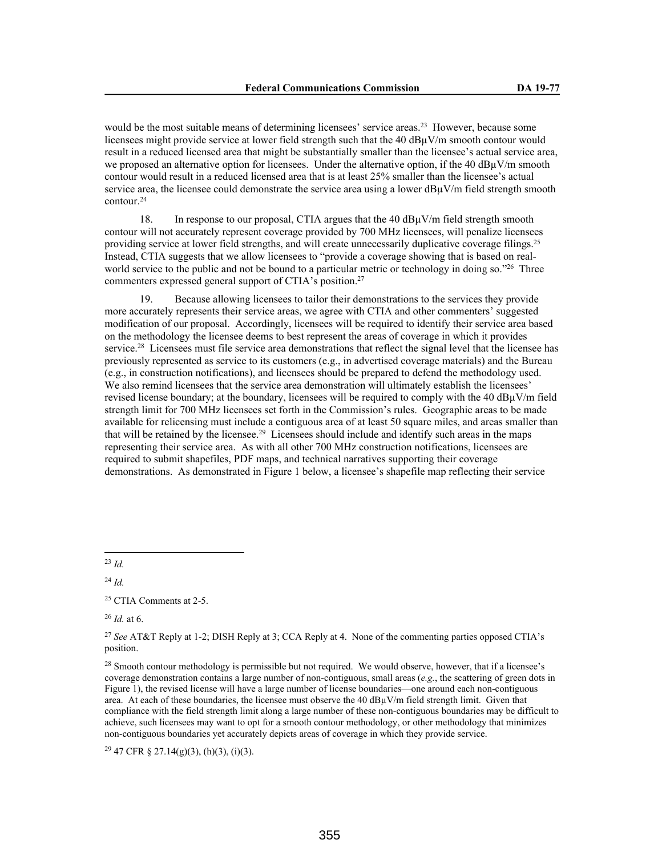would be the most suitable means of determining licensees' service areas.<sup>23</sup> However, because some licensees might provide service at lower field strength such that the 40 dBµV/m smooth contour would result in a reduced licensed area that might be substantially smaller than the licensee's actual service area, we proposed an alternative option for licensees. Under the alternative option, if the 40  $\frac{d}{d}$ W/m smooth contour would result in a reduced licensed area that is at least 25% smaller than the licensee's actual service area, the licensee could demonstrate the service area using a lower dB $\mu$ V/m field strength smooth contour.<sup>24</sup>

18. In response to our proposal, CTIA argues that the 40  $dB\mu V/m$  field strength smooth contour will not accurately represent coverage provided by 700 MHz licensees, will penalize licensees providing service at lower field strengths, and will create unnecessarily duplicative coverage filings.<sup>25</sup> Instead, CTIA suggests that we allow licensees to "provide a coverage showing that is based on realworld service to the public and not be bound to a particular metric or technology in doing so."<sup>26</sup> Three commenters expressed general support of CTIA's position.<sup>27</sup>

19. Because allowing licensees to tailor their demonstrations to the services they provide more accurately represents their service areas, we agree with CTIA and other commenters' suggested modification of our proposal. Accordingly, licensees will be required to identify their service area based on the methodology the licensee deems to best represent the areas of coverage in which it provides service.<sup>28</sup> Licensees must file service area demonstrations that reflect the signal level that the licensee has previously represented as service to its customers (e.g., in advertised coverage materials) and the Bureau (e.g., in construction notifications), and licensees should be prepared to defend the methodology used. We also remind licensees that the service area demonstration will ultimately establish the licensees' revised license boundary; at the boundary, licensees will be required to comply with the 40 dBµV/m field strength limit for 700 MHz licensees set forth in the Commission's rules. Geographic areas to be made available for relicensing must include a contiguous area of at least 50 square miles, and areas smaller than that will be retained by the licensee.<sup>29</sup> Licensees should include and identify such areas in the maps representing their service area. As with all other 700 MHz construction notifications, licensees are required to submit shapefiles, PDF maps, and technical narratives supporting their coverage demonstrations. As demonstrated in Figure 1 below, a licensee's shapefile map reflecting their service

<sup>23</sup> *Id.*

<sup>24</sup> *Id.*

<sup>26</sup> *Id.* at 6.

 $29$  47 CFR § 27.14(g)(3), (h)(3), (i)(3).

<sup>25</sup> CTIA Comments at 2-5.

<sup>27</sup> *See* AT&T Reply at 1-2; DISH Reply at 3; CCA Reply at 4. None of the commenting parties opposed CTIA's position.

<sup>&</sup>lt;sup>28</sup> Smooth contour methodology is permissible but not required. We would observe, however, that if a licensee's coverage demonstration contains a large number of non-contiguous, small areas (*e.g.*, the scattering of green dots in Figure 1), the revised license will have a large number of license boundaries—one around each non-contiguous area. At each of these boundaries, the licensee must observe the  $40 \text{ dB}_{\mu}V/m$  field strength limit. Given that compliance with the field strength limit along a large number of these non-contiguous boundaries may be difficult to achieve, such licensees may want to opt for a smooth contour methodology, or other methodology that minimizes non-contiguous boundaries yet accurately depicts areas of coverage in which they provide service.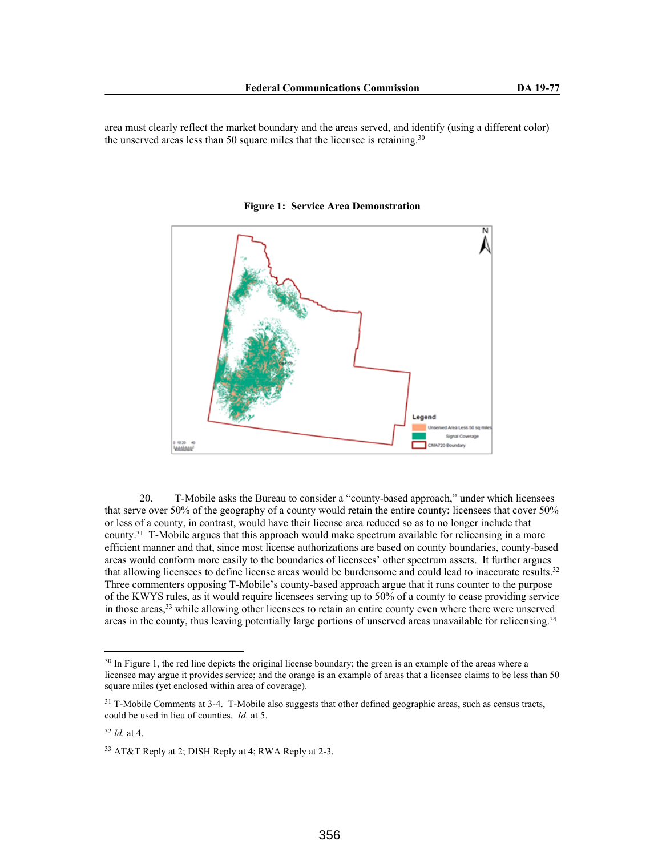area must clearly reflect the market boundary and the areas served, and identify (using a different color) the unserved areas less than 50 square miles that the licensee is retaining.<sup>30</sup>



**Figure 1: Service Area Demonstration**

20. T-Mobile asks the Bureau to consider a "county-based approach," under which licensees that serve over 50% of the geography of a county would retain the entire county; licensees that cover 50% or less of a county, in contrast, would have their license area reduced so as to no longer include that county.<sup>31</sup> T-Mobile argues that this approach would make spectrum available for relicensing in a more efficient manner and that, since most license authorizations are based on county boundaries, county-based areas would conform more easily to the boundaries of licensees' other spectrum assets. It further argues that allowing licensees to define license areas would be burdensome and could lead to inaccurate results.<sup>32</sup> Three commenters opposing T-Mobile's county-based approach argue that it runs counter to the purpose of the KWYS rules, as it would require licensees serving up to 50% of a county to cease providing service in those areas,<sup>33</sup> while allowing other licensees to retain an entire county even where there were unserved areas in the county, thus leaving potentially large portions of unserved areas unavailable for relicensing.<sup>34</sup>

<sup>&</sup>lt;sup>30</sup> In Figure 1, the red line depicts the original license boundary; the green is an example of the areas where a licensee may argue it provides service; and the orange is an example of areas that a licensee claims to be less than 50 square miles (yet enclosed within area of coverage).

<sup>&</sup>lt;sup>31</sup> T-Mobile Comments at 3-4. T-Mobile also suggests that other defined geographic areas, such as census tracts, could be used in lieu of counties. *Id.* at 5.

<sup>32</sup> *Id.* at 4.

<sup>33</sup> AT&T Reply at 2; DISH Reply at 4; RWA Reply at 2-3.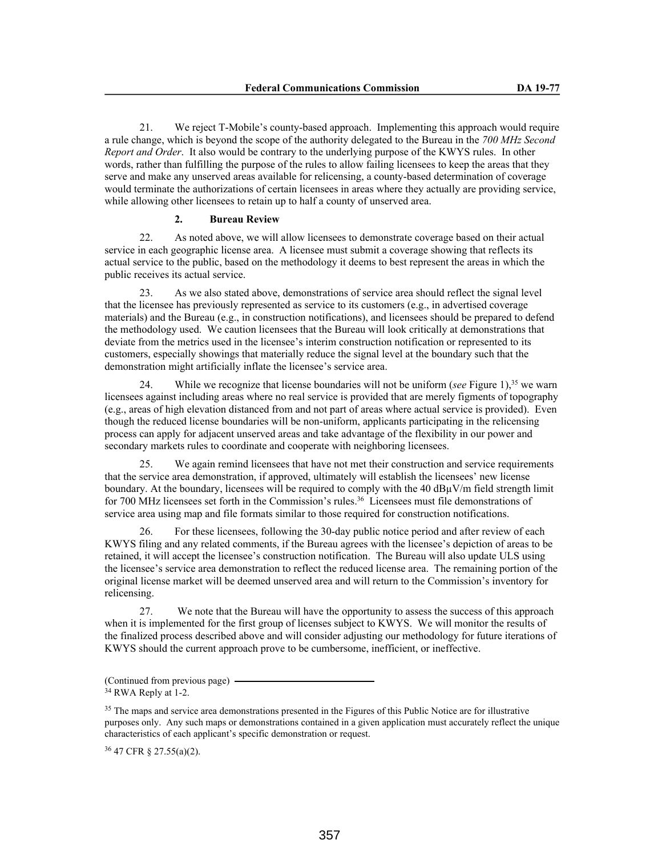21. We reject T-Mobile's county-based approach. Implementing this approach would require a rule change, which is beyond the scope of the authority delegated to the Bureau in the *700 MHz Second Report and Order*. It also would be contrary to the underlying purpose of the KWYS rules. In other words, rather than fulfilling the purpose of the rules to allow failing licensees to keep the areas that they serve and make any unserved areas available for relicensing, a county-based determination of coverage would terminate the authorizations of certain licensees in areas where they actually are providing service, while allowing other licensees to retain up to half a county of unserved area.

#### **2. Bureau Review**

22. As noted above, we will allow licensees to demonstrate coverage based on their actual service in each geographic license area. A licensee must submit a coverage showing that reflects its actual service to the public, based on the methodology it deems to best represent the areas in which the public receives its actual service.

23. As we also stated above, demonstrations of service area should reflect the signal level that the licensee has previously represented as service to its customers (e.g., in advertised coverage materials) and the Bureau (e.g., in construction notifications), and licensees should be prepared to defend the methodology used. We caution licensees that the Bureau will look critically at demonstrations that deviate from the metrics used in the licensee's interim construction notification or represented to its customers, especially showings that materially reduce the signal level at the boundary such that the demonstration might artificially inflate the licensee's service area.

24. While we recognize that license boundaries will not be uniform (*see* Figure 1),<sup>35</sup> we warn licensees against including areas where no real service is provided that are merely figments of topography (e.g., areas of high elevation distanced from and not part of areas where actual service is provided). Even though the reduced license boundaries will be non-uniform, applicants participating in the relicensing process can apply for adjacent unserved areas and take advantage of the flexibility in our power and secondary markets rules to coordinate and cooperate with neighboring licensees.

25. We again remind licensees that have not met their construction and service requirements that the service area demonstration, if approved, ultimately will establish the licensees' new license boundary. At the boundary, licensees will be required to comply with the 40 dBµV/m field strength limit for 700 MHz licensees set forth in the Commission's rules.<sup>36</sup> Licensees must file demonstrations of service area using map and file formats similar to those required for construction notifications.

26. For these licensees, following the 30-day public notice period and after review of each KWYS filing and any related comments, if the Bureau agrees with the licensee's depiction of areas to be retained, it will accept the licensee's construction notification. The Bureau will also update ULS using the licensee's service area demonstration to reflect the reduced license area. The remaining portion of the original license market will be deemed unserved area and will return to the Commission's inventory for relicensing.

27. We note that the Bureau will have the opportunity to assess the success of this approach when it is implemented for the first group of licenses subject to KWYS. We will monitor the results of the finalized process described above and will consider adjusting our methodology for future iterations of KWYS should the current approach prove to be cumbersome, inefficient, or ineffective.

(Continued from previous page)

<sup>36</sup> 47 CFR § 27.55(a)(2).

<sup>&</sup>lt;sup>34</sup> RWA Reply at 1-2.

<sup>&</sup>lt;sup>35</sup> The maps and service area demonstrations presented in the Figures of this Public Notice are for illustrative purposes only. Any such maps or demonstrations contained in a given application must accurately reflect the unique characteristics of each applicant's specific demonstration or request.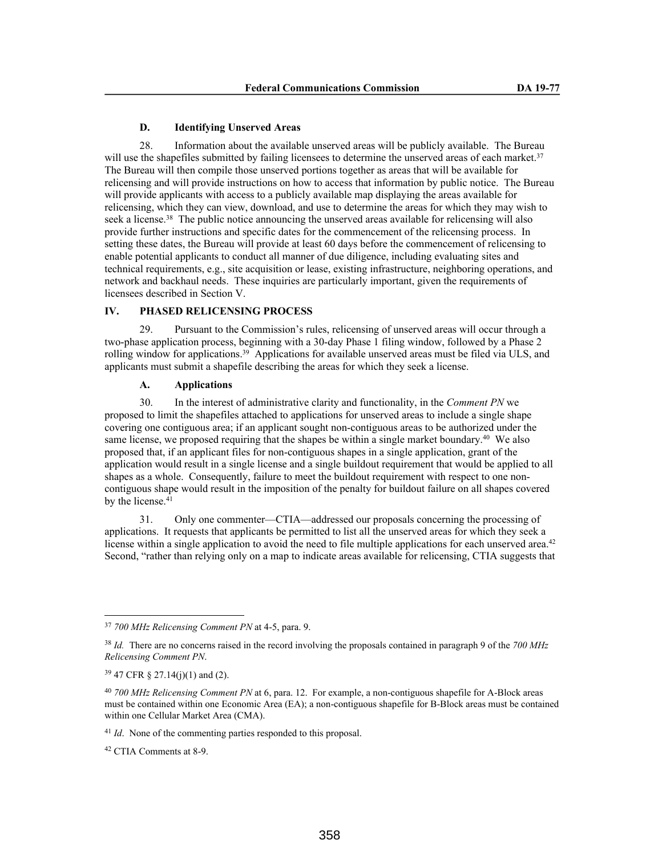### **D. Identifying Unserved Areas**

28. Information about the available unserved areas will be publicly available. The Bureau will use the shapefiles submitted by failing licensees to determine the unserved areas of each market.<sup>37</sup> The Bureau will then compile those unserved portions together as areas that will be available for relicensing and will provide instructions on how to access that information by public notice. The Bureau will provide applicants with access to a publicly available map displaying the areas available for relicensing, which they can view, download, and use to determine the areas for which they may wish to seek a license.<sup>38</sup> The public notice announcing the unserved areas available for relicensing will also provide further instructions and specific dates for the commencement of the relicensing process. In setting these dates, the Bureau will provide at least 60 days before the commencement of relicensing to enable potential applicants to conduct all manner of due diligence, including evaluating sites and technical requirements, e.g., site acquisition or lease, existing infrastructure, neighboring operations, and network and backhaul needs. These inquiries are particularly important, given the requirements of licensees described in Section V.

# **IV. PHASED RELICENSING PROCESS**

29. Pursuant to the Commission's rules, relicensing of unserved areas will occur through a two-phase application process, beginning with a 30-day Phase 1 filing window, followed by a Phase 2 rolling window for applications.<sup>39</sup> Applications for available unserved areas must be filed via ULS, and applicants must submit a shapefile describing the areas for which they seek a license.

## **A. Applications**

30. In the interest of administrative clarity and functionality, in the *Comment PN* we proposed to limit the shapefiles attached to applications for unserved areas to include a single shape covering one contiguous area; if an applicant sought non-contiguous areas to be authorized under the same license, we proposed requiring that the shapes be within a single market boundary.<sup>40</sup> We also proposed that, if an applicant files for non-contiguous shapes in a single application, grant of the application would result in a single license and a single buildout requirement that would be applied to all shapes as a whole. Consequently, failure to meet the buildout requirement with respect to one noncontiguous shape would result in the imposition of the penalty for buildout failure on all shapes covered by the license.<sup>41</sup>

31. Only one commenter—CTIA—addressed our proposals concerning the processing of applications. It requests that applicants be permitted to list all the unserved areas for which they seek a license within a single application to avoid the need to file multiple applications for each unserved area.<sup>42</sup> Second, "rather than relying only on a map to indicate areas available for relicensing, CTIA suggests that

<sup>37</sup> *700 MHz Relicensing Comment PN* at 4-5, para. 9.

<sup>38</sup> *Id.* There are no concerns raised in the record involving the proposals contained in paragraph 9 of the *700 MHz Relicensing Comment PN*.

<sup>39</sup> 47 CFR § 27.14(j)(1) and (2).

<sup>40</sup> *700 MHz Relicensing Comment PN* at 6, para. 12. For example, a non-contiguous shapefile for A-Block areas must be contained within one Economic Area (EA); a non-contiguous shapefile for B-Block areas must be contained within one Cellular Market Area (CMA).

<sup>41</sup> *Id*. None of the commenting parties responded to this proposal.

<sup>42</sup> CTIA Comments at 8-9.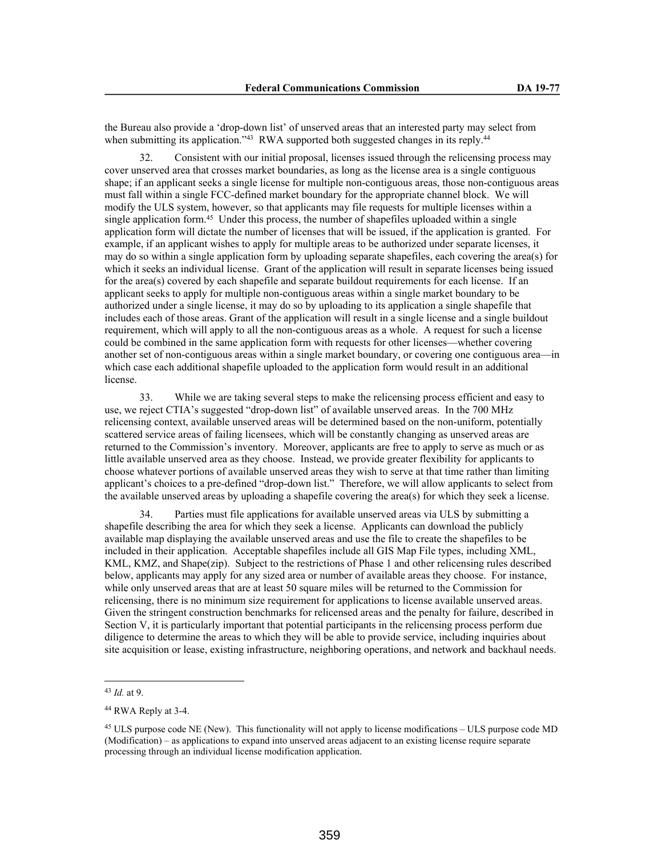the Bureau also provide a 'drop-down list' of unserved areas that an interested party may select from when submitting its application."<sup>43</sup> RWA supported both suggested changes in its reply.<sup>44</sup>

32. Consistent with our initial proposal, licenses issued through the relicensing process may cover unserved area that crosses market boundaries, as long as the license area is a single contiguous shape; if an applicant seeks a single license for multiple non-contiguous areas, those non-contiguous areas must fall within a single FCC-defined market boundary for the appropriate channel block. We will modify the ULS system, however, so that applicants may file requests for multiple licenses within a single application form.<sup>45</sup> Under this process, the number of shapefiles uploaded within a single application form will dictate the number of licenses that will be issued, if the application is granted. For example, if an applicant wishes to apply for multiple areas to be authorized under separate licenses, it may do so within a single application form by uploading separate shapefiles, each covering the area(s) for which it seeks an individual license. Grant of the application will result in separate licenses being issued for the area(s) covered by each shapefile and separate buildout requirements for each license. If an applicant seeks to apply for multiple non-contiguous areas within a single market boundary to be authorized under a single license, it may do so by uploading to its application a single shapefile that includes each of those areas. Grant of the application will result in a single license and a single buildout requirement, which will apply to all the non-contiguous areas as a whole. A request for such a license could be combined in the same application form with requests for other licenses—whether covering another set of non-contiguous areas within a single market boundary, or covering one contiguous area—in which case each additional shapefile uploaded to the application form would result in an additional license.

33. While we are taking several steps to make the relicensing process efficient and easy to use, we reject CTIA's suggested "drop-down list" of available unserved areas. In the 700 MHz relicensing context, available unserved areas will be determined based on the non-uniform, potentially scattered service areas of failing licensees, which will be constantly changing as unserved areas are returned to the Commission's inventory. Moreover, applicants are free to apply to serve as much or as little available unserved area as they choose. Instead, we provide greater flexibility for applicants to choose whatever portions of available unserved areas they wish to serve at that time rather than limiting applicant's choices to a pre-defined "drop-down list." Therefore, we will allow applicants to select from the available unserved areas by uploading a shapefile covering the area(s) for which they seek a license.

34. Parties must file applications for available unserved areas via ULS by submitting a shapefile describing the area for which they seek a license. Applicants can download the publicly available map displaying the available unserved areas and use the file to create the shapefiles to be included in their application. Acceptable shapefiles include all GIS Map File types, including XML, KML, KMZ, and Shape(zip). Subject to the restrictions of Phase 1 and other relicensing rules described below, applicants may apply for any sized area or number of available areas they choose. For instance, while only unserved areas that are at least 50 square miles will be returned to the Commission for relicensing, there is no minimum size requirement for applications to license available unserved areas. Given the stringent construction benchmarks for relicensed areas and the penalty for failure, described in Section V, it is particularly important that potential participants in the relicensing process perform due diligence to determine the areas to which they will be able to provide service, including inquiries about site acquisition or lease, existing infrastructure, neighboring operations, and network and backhaul needs.

<sup>43</sup> *Id.* at 9.

<sup>44</sup> RWA Reply at 3-4.

<sup>&</sup>lt;sup>45</sup> ULS purpose code NE (New). This functionality will not apply to license modifications – ULS purpose code MD (Modification) – as applications to expand into unserved areas adjacent to an existing license require separate processing through an individual license modification application.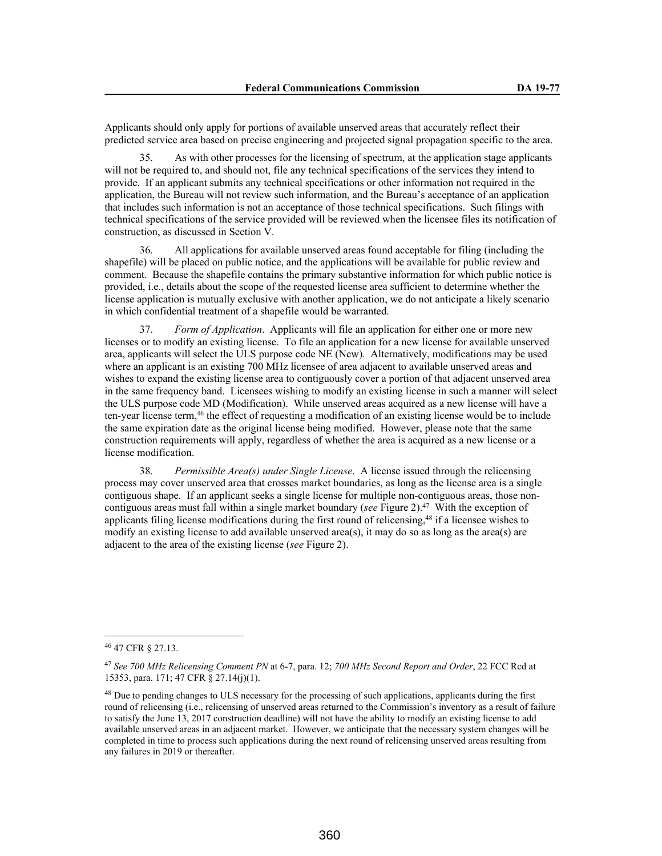Applicants should only apply for portions of available unserved areas that accurately reflect their predicted service area based on precise engineering and projected signal propagation specific to the area.

As with other processes for the licensing of spectrum, at the application stage applicants will not be required to, and should not, file any technical specifications of the services they intend to provide. If an applicant submits any technical specifications or other information not required in the application, the Bureau will not review such information, and the Bureau's acceptance of an application that includes such information is not an acceptance of those technical specifications. Such filings with technical specifications of the service provided will be reviewed when the licensee files its notification of construction, as discussed in Section V.

36. All applications for available unserved areas found acceptable for filing (including the shapefile) will be placed on public notice, and the applications will be available for public review and comment. Because the shapefile contains the primary substantive information for which public notice is provided, i.e., details about the scope of the requested license area sufficient to determine whether the license application is mutually exclusive with another application, we do not anticipate a likely scenario in which confidential treatment of a shapefile would be warranted.

37. *Form of Application*. Applicants will file an application for either one or more new licenses or to modify an existing license. To file an application for a new license for available unserved area, applicants will select the ULS purpose code NE (New). Alternatively, modifications may be used where an applicant is an existing 700 MHz licensee of area adjacent to available unserved areas and wishes to expand the existing license area to contiguously cover a portion of that adjacent unserved area in the same frequency band. Licensees wishing to modify an existing license in such a manner will select the ULS purpose code MD (Modification). While unserved areas acquired as a new license will have a ten-year license term,<sup>46</sup> the effect of requesting a modification of an existing license would be to include the same expiration date as the original license being modified. However, please note that the same construction requirements will apply, regardless of whether the area is acquired as a new license or a license modification.

38. *Permissible Area(s) under Single License*. A license issued through the relicensing process may cover unserved area that crosses market boundaries, as long as the license area is a single contiguous shape. If an applicant seeks a single license for multiple non-contiguous areas, those noncontiguous areas must fall within a single market boundary (*see* Figure 2).<sup>47</sup> With the exception of applicants filing license modifications during the first round of relicensing,<sup>48</sup> if a licensee wishes to modify an existing license to add available unserved area(s), it may do so as long as the area(s) are adjacent to the area of the existing license (*see* Figure 2).

<sup>46</sup> 47 CFR § 27.13.

<sup>47</sup> *See 700 MHz Relicensing Comment PN* at 6-7, para. 12; *700 MHz Second Report and Order*, 22 FCC Rcd at 15353, para. 171; 47 CFR § 27.14(j)(1).

<sup>&</sup>lt;sup>48</sup> Due to pending changes to ULS necessary for the processing of such applications, applicants during the first round of relicensing (i.e., relicensing of unserved areas returned to the Commission's inventory as a result of failure to satisfy the June 13, 2017 construction deadline) will not have the ability to modify an existing license to add available unserved areas in an adjacent market. However, we anticipate that the necessary system changes will be completed in time to process such applications during the next round of relicensing unserved areas resulting from any failures in 2019 or thereafter.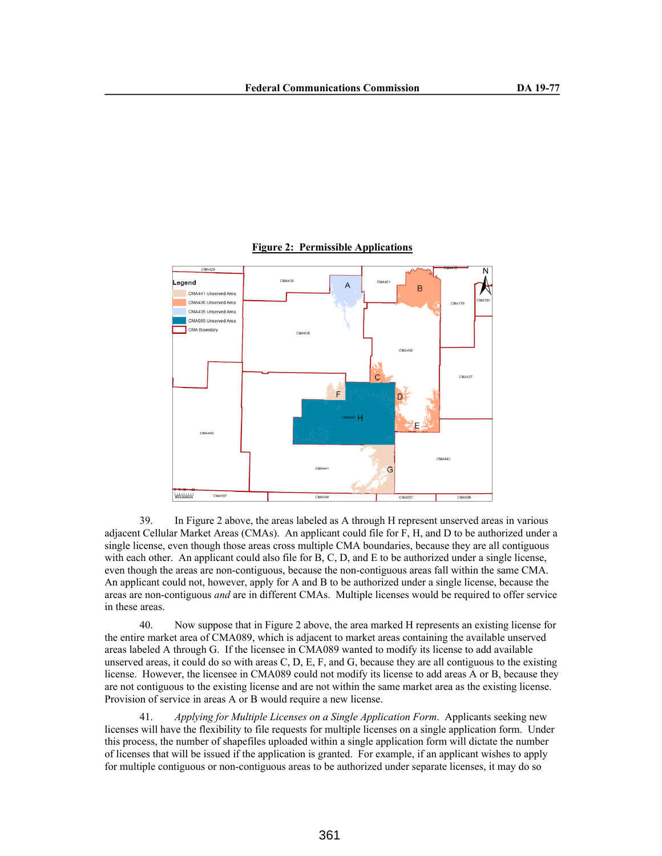

### **Figure 2: Permissible Applications**

39. In Figure 2 above, the areas labeled as A through H represent unserved areas in various adjacent Cellular Market Areas (CMAs). An applicant could file for F, H, and D to be authorized under a single license, even though those areas cross multiple CMA boundaries, because they are all contiguous with each other. An applicant could also file for B, C, D, and E to be authorized under a single license, even though the areas are non-contiguous, because the non-contiguous areas fall within the same CMA. An applicant could not, however, apply for A and B to be authorized under a single license, because the areas are non-contiguous *and* are in different CMAs. Multiple licenses would be required to offer service in these areas.

40. Now suppose that in Figure 2 above, the area marked H represents an existing license for the entire market area of CMA089, which is adjacent to market areas containing the available unserved areas labeled A through G. If the licensee in CMA089 wanted to modify its license to add available unserved areas, it could do so with areas C, D, E, F, and G, because they are all contiguous to the existing license. However, the licensee in CMA089 could not modify its license to add areas A or B, because they are not contiguous to the existing license and are not within the same market area as the existing license. Provision of service in areas A or B would require a new license.

41. *Applying for Multiple Licenses on a Single Application Form*. Applicants seeking new licenses will have the flexibility to file requests for multiple licenses on a single application form. Under this process, the number of shapefiles uploaded within a single application form will dictate the number of licenses that will be issued if the application is granted. For example, if an applicant wishes to apply for multiple contiguous or non-contiguous areas to be authorized under separate licenses, it may do so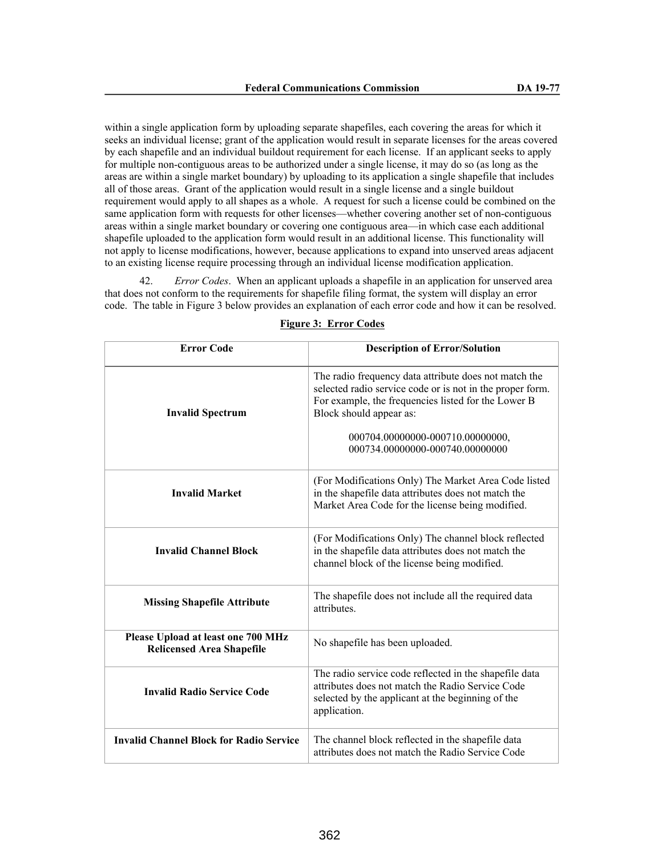within a single application form by uploading separate shapefiles, each covering the areas for which it seeks an individual license; grant of the application would result in separate licenses for the areas covered by each shapefile and an individual buildout requirement for each license. If an applicant seeks to apply for multiple non-contiguous areas to be authorized under a single license, it may do so (as long as the areas are within a single market boundary) by uploading to its application a single shapefile that includes all of those areas. Grant of the application would result in a single license and a single buildout requirement would apply to all shapes as a whole. A request for such a license could be combined on the same application form with requests for other licenses—whether covering another set of non-contiguous areas within a single market boundary or covering one contiguous area—in which case each additional shapefile uploaded to the application form would result in an additional license. This functionality will not apply to license modifications, however, because applications to expand into unserved areas adjacent to an existing license require processing through an individual license modification application.

42. *Error Codes*. When an applicant uploads a shapefile in an application for unserved area that does not conform to the requirements for shapefile filing format, the system will display an error code. The table in Figure 3 below provides an explanation of each error code and how it can be resolved.

| <b>Error Code</b>                                                      | <b>Description of Error/Solution</b>                                                                                                                                                                                                                                        |
|------------------------------------------------------------------------|-----------------------------------------------------------------------------------------------------------------------------------------------------------------------------------------------------------------------------------------------------------------------------|
| <b>Invalid Spectrum</b>                                                | The radio frequency data attribute does not match the<br>selected radio service code or is not in the proper form.<br>For example, the frequencies listed for the Lower B<br>Block should appear as:<br>000704.00000000-000710.00000000,<br>000734.00000000-000740.00000000 |
| <b>Invalid Market</b>                                                  | (For Modifications Only) The Market Area Code listed<br>in the shapefile data attributes does not match the<br>Market Area Code for the license being modified.                                                                                                             |
| <b>Invalid Channel Block</b>                                           | (For Modifications Only) The channel block reflected<br>in the shapefile data attributes does not match the<br>channel block of the license being modified.                                                                                                                 |
| <b>Missing Shapefile Attribute</b>                                     | The shapefile does not include all the required data<br>attributes.                                                                                                                                                                                                         |
| Please Upload at least one 700 MHz<br><b>Relicensed Area Shapefile</b> | No shapefile has been uploaded.                                                                                                                                                                                                                                             |
| <b>Invalid Radio Service Code</b>                                      | The radio service code reflected in the shapefile data<br>attributes does not match the Radio Service Code<br>selected by the applicant at the beginning of the<br>application.                                                                                             |
| <b>Invalid Channel Block for Radio Service</b>                         | The channel block reflected in the shapefile data<br>attributes does not match the Radio Service Code                                                                                                                                                                       |

#### **Figure 3: Error Codes**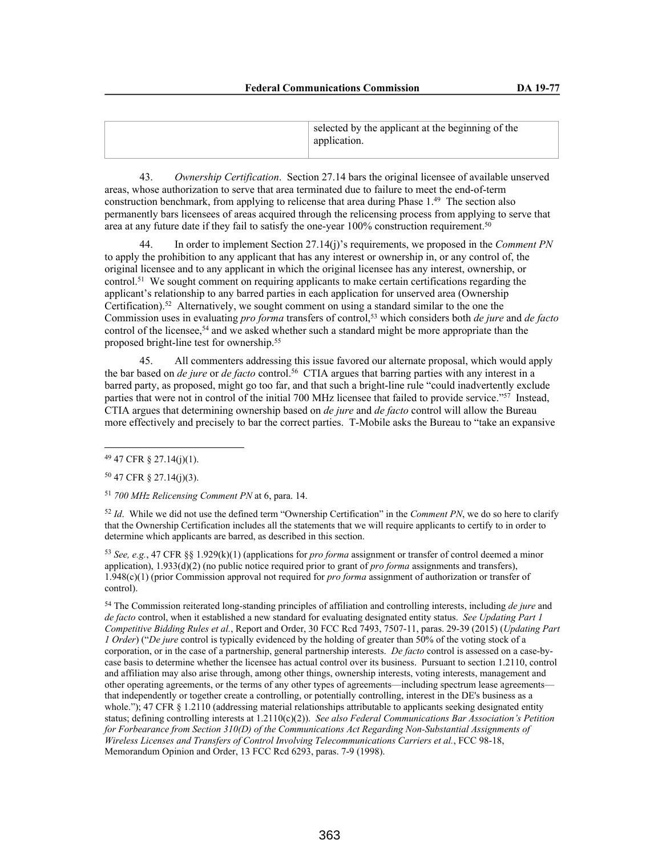| selected by the applicant at the beginning of the<br>application. |
|-------------------------------------------------------------------|
|                                                                   |

43. *Ownership Certification*. Section 27.14 bars the original licensee of available unserved areas, whose authorization to serve that area terminated due to failure to meet the end-of-term construction benchmark, from applying to relicense that area during Phase 1.<sup>49</sup> The section also permanently bars licensees of areas acquired through the relicensing process from applying to serve that area at any future date if they fail to satisfy the one-year 100% construction requirement.<sup>50</sup>

44. In order to implement Section 27.14(j)'s requirements, we proposed in the *Comment PN*  to apply the prohibition to any applicant that has any interest or ownership in, or any control of, the original licensee and to any applicant in which the original licensee has any interest, ownership, or control.<sup>51</sup> We sought comment on requiring applicants to make certain certifications regarding the applicant's relationship to any barred parties in each application for unserved area (Ownership Certification).<sup>52</sup> Alternatively, we sought comment on using a standard similar to the one the Commission uses in evaluating *pro forma* transfers of control,<sup>53</sup> which considers both *de jure* and *de facto* control of the licensee,<sup>54</sup> and we asked whether such a standard might be more appropriate than the proposed bright-line test for ownership.<sup>55</sup>

45. All commenters addressing this issue favored our alternate proposal, which would apply the bar based on *de jure* or *de facto* control.<sup>56</sup> CTIA argues that barring parties with any interest in a barred party, as proposed, might go too far, and that such a bright-line rule "could inadvertently exclude parties that were not in control of the initial 700 MHz licensee that failed to provide service."<sup>57</sup> Instead, CTIA argues that determining ownership based on *de jure* and *de facto* control will allow the Bureau more effectively and precisely to bar the correct parties. T-Mobile asks the Bureau to "take an expansive

<sup>52</sup> *Id*. While we did not use the defined term "Ownership Certification" in the *Comment PN*, we do so here to clarify that the Ownership Certification includes all the statements that we will require applicants to certify to in order to determine which applicants are barred, as described in this section.

<sup>53</sup> *See, e.g.*, 47 CFR §§ 1.929(k)(1) (applications for *pro forma* assignment or transfer of control deemed a minor application), 1.933(d)(2) (no public notice required prior to grant of *pro forma* assignments and transfers), 1.948(c)(1) (prior Commission approval not required for *pro forma* assignment of authorization or transfer of control).

<sup>54</sup> The Commission reiterated long-standing principles of affiliation and controlling interests, including *de jure* and *de facto* control, when it established a new standard for evaluating designated entity status. *See Updating Part 1 Competitive Bidding Rules et al.*, Report and Order, 30 FCC Rcd 7493, 7507-11, paras. 29-39 (2015) (*Updating Part 1 Order*) ("*De jure* control is typically evidenced by the holding of greater than 50% of the voting stock of a corporation, or in the case of a partnership, general partnership interests. *De facto* control is assessed on a case-bycase basis to determine whether the licensee has actual control over its business. Pursuant to section 1.2110, control and affiliation may also arise through, among other things, ownership interests, voting interests, management and other operating agreements, or the terms of any other types of agreements—including spectrum lease agreements that independently or together create a controlling, or potentially controlling, interest in the DE's business as a whole."); 47 CFR § 1.2110 (addressing material relationships attributable to applicants seeking designated entity status; defining controlling interests at 1.2110(c)(2)). See also Federal Communications Bar Association's Petition *for Forbearance from Section 310(D) of the Communications Act Regarding Non-Substantial Assignments of Wireless Licenses and Transfers of Control Involving Telecommunications Carriers et al.*, FCC 98-18, Memorandum Opinion and Order, 13 FCC Rcd 6293, paras. 7-9 (1998).

<sup>49</sup> 47 CFR § 27.14(j)(1).

<sup>50</sup> 47 CFR § 27.14(j)(3).

<sup>51</sup> *700 MHz Relicensing Comment PN* at 6, para. 14.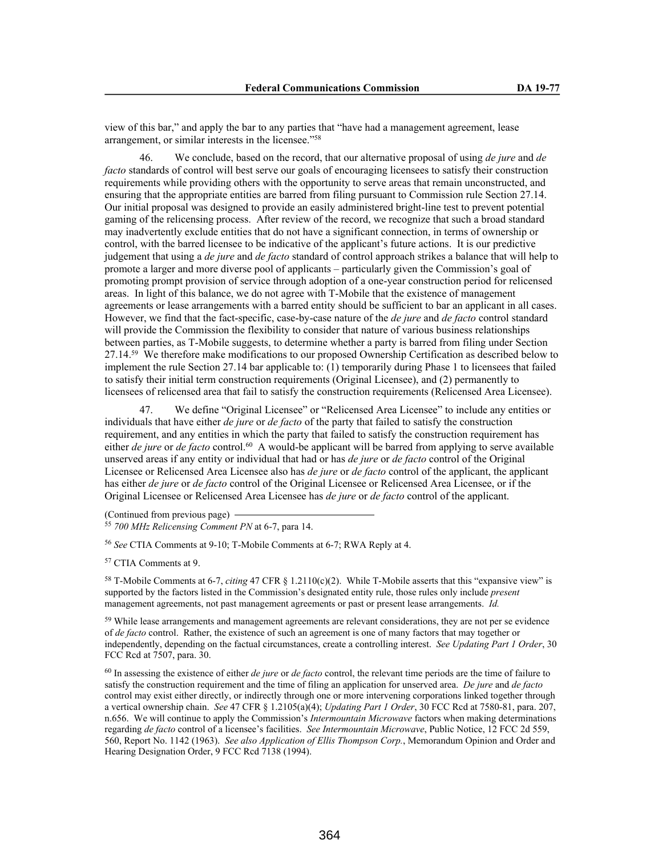view of this bar," and apply the bar to any parties that "have had a management agreement, lease arrangement, or similar interests in the licensee."<sup>58</sup>

46. We conclude, based on the record, that our alternative proposal of using *de jure* and *de facto* standards of control will best serve our goals of encouraging licensees to satisfy their construction requirements while providing others with the opportunity to serve areas that remain unconstructed, and ensuring that the appropriate entities are barred from filing pursuant to Commission rule Section 27.14. Our initial proposal was designed to provide an easily administered bright-line test to prevent potential gaming of the relicensing process. After review of the record, we recognize that such a broad standard may inadvertently exclude entities that do not have a significant connection, in terms of ownership or control, with the barred licensee to be indicative of the applicant's future actions. It is our predictive judgement that using a *de jure* and *de facto* standard of control approach strikes a balance that will help to promote a larger and more diverse pool of applicants – particularly given the Commission's goal of promoting prompt provision of service through adoption of a one-year construction period for relicensed areas. In light of this balance, we do not agree with T-Mobile that the existence of management agreements or lease arrangements with a barred entity should be sufficient to bar an applicant in all cases. However, we find that the fact-specific, case-by-case nature of the *de jure* and *de facto* control standard will provide the Commission the flexibility to consider that nature of various business relationships between parties, as T-Mobile suggests, to determine whether a party is barred from filing under Section 27.14.<sup>59</sup> We therefore make modifications to our proposed Ownership Certification as described below to implement the rule Section 27.14 bar applicable to: (1) temporarily during Phase 1 to licensees that failed to satisfy their initial term construction requirements (Original Licensee), and (2) permanently to licensees of relicensed area that fail to satisfy the construction requirements (Relicensed Area Licensee).

47. We define "Original Licensee" or "Relicensed Area Licensee" to include any entities or individuals that have either *de jure* or *de facto* of the party that failed to satisfy the construction requirement, and any entities in which the party that failed to satisfy the construction requirement has either *de jure* or *de facto* control.<sup>60</sup> A would-be applicant will be barred from applying to serve available unserved areas if any entity or individual that had or has *de jure* or *de facto* control of the Original Licensee or Relicensed Area Licensee also has *de jure* or *de facto* control of the applicant, the applicant has either *de jure* or *de facto* control of the Original Licensee or Relicensed Area Licensee, or if the Original Licensee or Relicensed Area Licensee has *de jure* or *de facto* control of the applicant.

(Continued from previous page)

<sup>55</sup> *700 MHz Relicensing Comment PN* at 6-7, para 14.

<sup>56</sup> *See* CTIA Comments at 9-10; T-Mobile Comments at 6-7; RWA Reply at 4.

<sup>57</sup> CTIA Comments at 9.

<sup>58</sup> T-Mobile Comments at 6-7, *citing* 47 CFR § 1.2110(c)(2). While T-Mobile asserts that this "expansive view" is supported by the factors listed in the Commission's designated entity rule, those rules only include *present* management agreements, not past management agreements or past or present lease arrangements. *Id.*

<sup>59</sup> While lease arrangements and management agreements are relevant considerations, they are not per se evidence of *de facto* control. Rather, the existence of such an agreement is one of many factors that may together or independently, depending on the factual circumstances, create a controlling interest. *See Updating Part 1 Order*, 30 FCC Rcd at 7507, para. 30.

<sup>60</sup> In assessing the existence of either *de jure* or *de facto* control, the relevant time periods are the time of failure to satisfy the construction requirement and the time of filing an application for unserved area. *De jure* and *de facto* control may exist either directly, or indirectly through one or more intervening corporations linked together through a vertical ownership chain. *See* 47 CFR § 1.2105(a)(4); *Updating Part 1 Order*, 30 FCC Rcd at 7580-81, para. 207, n.656. We will continue to apply the Commission's *Intermountain Microwave* factors when making determinations regarding *de facto* control of a licensee's facilities. *See Intermountain Microwave*, Public Notice, 12 FCC 2d 559, 560, Report No. 1142 (1963). *See also Application of Ellis Thompson Corp.*, Memorandum Opinion and Order and Hearing Designation Order, 9 FCC Rcd 7138 (1994).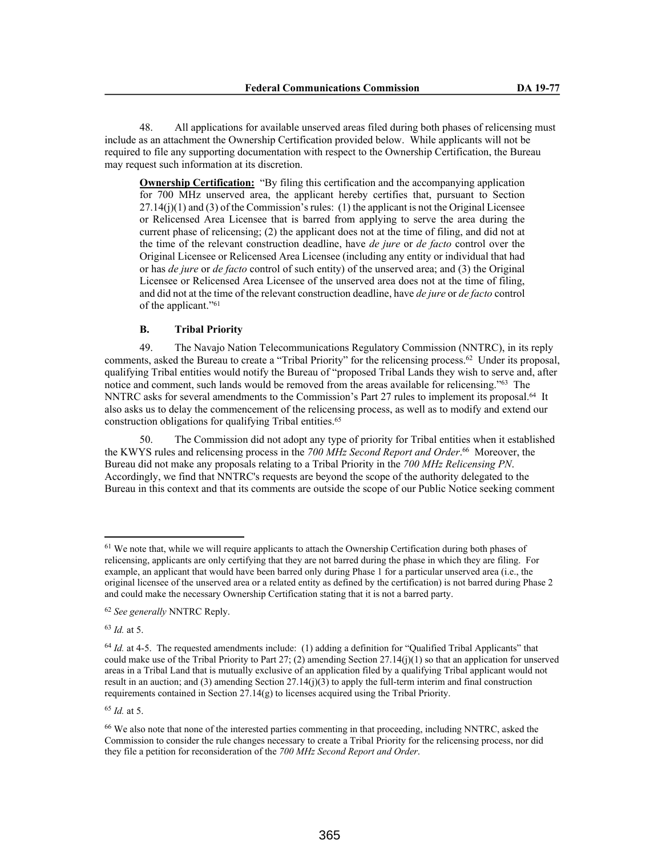48. All applications for available unserved areas filed during both phases of relicensing must include as an attachment the Ownership Certification provided below. While applicants will not be required to file any supporting documentation with respect to the Ownership Certification, the Bureau may request such information at its discretion.

**Ownership Certification:** "By filing this certification and the accompanying application for 700 MHz unserved area, the applicant hereby certifies that, pursuant to Section  $27.14(j)(1)$  and (3) of the Commission's rules: (1) the applicant is not the Original Licensee or Relicensed Area Licensee that is barred from applying to serve the area during the current phase of relicensing; (2) the applicant does not at the time of filing, and did not at the time of the relevant construction deadline, have *de jure* or *de facto* control over the Original Licensee or Relicensed Area Licensee (including any entity or individual that had or has *de jure* or *de facto* control of such entity) of the unserved area; and (3) the Original Licensee or Relicensed Area Licensee of the unserved area does not at the time of filing, and did not at the time of the relevant construction deadline, have *de jure* or *de facto* control of the applicant."<sup>61</sup>

# **B. Tribal Priority**

49. The Navajo Nation Telecommunications Regulatory Commission (NNTRC), in its reply comments, asked the Bureau to create a "Tribal Priority" for the relicensing process.<sup>62</sup> Under its proposal, qualifying Tribal entities would notify the Bureau of "proposed Tribal Lands they wish to serve and, after notice and comment, such lands would be removed from the areas available for relicensing."<sup>63</sup> The NNTRC asks for several amendments to the Commission's Part 27 rules to implement its proposal.<sup>64</sup> It also asks us to delay the commencement of the relicensing process, as well as to modify and extend our construction obligations for qualifying Tribal entities.<sup>65</sup>

50. The Commission did not adopt any type of priority for Tribal entities when it established the KWYS rules and relicensing process in the *700 MHz Second Report and Order*. <sup>66</sup> Moreover, the Bureau did not make any proposals relating to a Tribal Priority in the *700 MHz Relicensing PN*. Accordingly, we find that NNTRC's requests are beyond the scope of the authority delegated to the Bureau in this context and that its comments are outside the scope of our Public Notice seeking comment

<sup>63</sup> *Id.* at 5.

<sup>65</sup> *Id.* at 5.

<sup>&</sup>lt;sup>61</sup> We note that, while we will require applicants to attach the Ownership Certification during both phases of relicensing, applicants are only certifying that they are not barred during the phase in which they are filing. For example, an applicant that would have been barred only during Phase 1 for a particular unserved area (i.e., the original licensee of the unserved area or a related entity as defined by the certification) is not barred during Phase 2 and could make the necessary Ownership Certification stating that it is not a barred party.

<sup>62</sup> *See generally* NNTRC Reply.

<sup>&</sup>lt;sup>64</sup> *Id.* at 4-5. The requested amendments include: (1) adding a definition for "Qualified Tribal Applicants" that could make use of the Tribal Priority to Part 27; (2) amending Section 27.14(j)(1) so that an application for unserved areas in a Tribal Land that is mutually exclusive of an application filed by a qualifying Tribal applicant would not result in an auction; and (3) amending Section 27.14(j)(3) to apply the full-term interim and final construction requirements contained in Section 27.14(g) to licenses acquired using the Tribal Priority.

<sup>66</sup> We also note that none of the interested parties commenting in that proceeding, including NNTRC, asked the Commission to consider the rule changes necessary to create a Tribal Priority for the relicensing process, nor did they file a petition for reconsideration of the *700 MHz Second Report and Order*.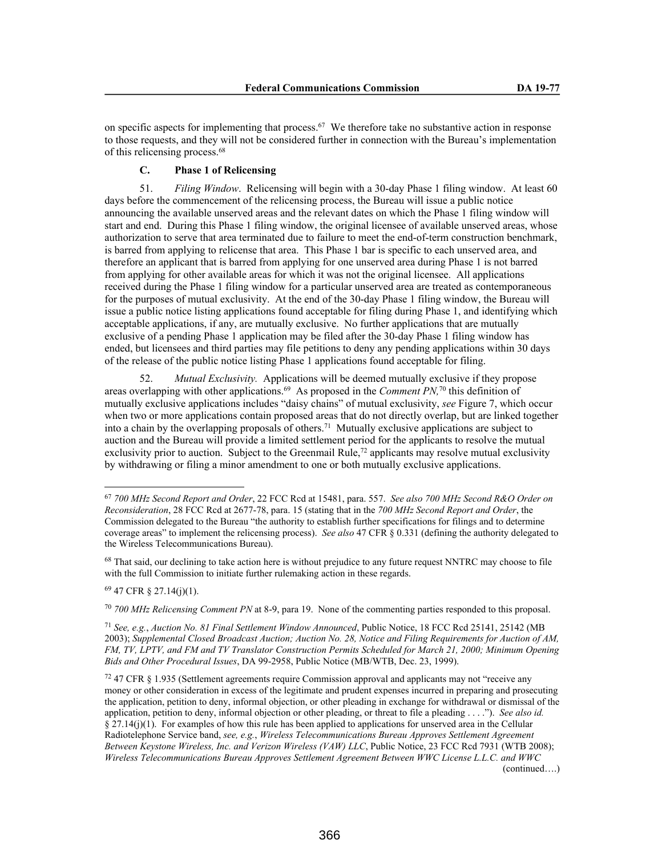on specific aspects for implementing that process.<sup>67</sup> We therefore take no substantive action in response to those requests, and they will not be considered further in connection with the Bureau's implementation of this relicensing process.<sup>68</sup>

# **C. Phase 1 of Relicensing**

51. *Filing Window*. Relicensing will begin with a 30-day Phase 1 filing window. At least 60 days before the commencement of the relicensing process, the Bureau will issue a public notice announcing the available unserved areas and the relevant dates on which the Phase 1 filing window will start and end. During this Phase 1 filing window, the original licensee of available unserved areas, whose authorization to serve that area terminated due to failure to meet the end-of-term construction benchmark, is barred from applying to relicense that area. This Phase 1 bar is specific to each unserved area, and therefore an applicant that is barred from applying for one unserved area during Phase 1 is not barred from applying for other available areas for which it was not the original licensee. All applications received during the Phase 1 filing window for a particular unserved area are treated as contemporaneous for the purposes of mutual exclusivity. At the end of the 30-day Phase 1 filing window, the Bureau will issue a public notice listing applications found acceptable for filing during Phase 1, and identifying which acceptable applications, if any, are mutually exclusive. No further applications that are mutually exclusive of a pending Phase 1 application may be filed after the 30-day Phase 1 filing window has ended, but licensees and third parties may file petitions to deny any pending applications within 30 days of the release of the public notice listing Phase 1 applications found acceptable for filing.

52. *Mutual Exclusivity.* Applications will be deemed mutually exclusive if they propose areas overlapping with other applications.<sup>69</sup> As proposed in the *Comment PN*,<sup>70</sup> this definition of mutually exclusive applications includes "daisy chains" of mutual exclusivity, *see* Figure 7, which occur when two or more applications contain proposed areas that do not directly overlap, but are linked together into a chain by the overlapping proposals of others.<sup>71</sup> Mutually exclusive applications are subject to auction and the Bureau will provide a limited settlement period for the applicants to resolve the mutual exclusivity prior to auction. Subject to the Greenmail Rule,<sup>72</sup> applicants may resolve mutual exclusivity by withdrawing or filing a minor amendment to one or both mutually exclusive applications.

<sup>69</sup> 47 CFR § 27.14(j)(1).

<sup>70</sup> *700 MHz Relicensing Comment PN* at 8-9, para 19. None of the commenting parties responded to this proposal.

<sup>67</sup> *700 MHz Second Report and Order*, 22 FCC Rcd at 15481, para. 557. *See also 700 MHz Second R&O Order on Reconsideration*, 28 FCC Rcd at 2677-78, para. 15 (stating that in the *700 MHz Second Report and Order*, the Commission delegated to the Bureau "the authority to establish further specifications for filings and to determine coverage areas" to implement the relicensing process). *See also* 47 CFR § 0.331 (defining the authority delegated to the Wireless Telecommunications Bureau).

<sup>&</sup>lt;sup>68</sup> That said, our declining to take action here is without prejudice to any future request NNTRC may choose to file with the full Commission to initiate further rulemaking action in these regards.

<sup>71</sup> *See, e.g.*, *Auction No. 81 Final Settlement Window Announced*, Public Notice, 18 FCC Rcd 25141, 25142 (MB 2003); *Supplemental Closed Broadcast Auction; Auction No. 28, Notice and Filing Requirements for Auction of AM, FM, TV, LPTV, and FM and TV Translator Construction Permits Scheduled for March 21, 2000; Minimum Opening Bids and Other Procedural Issues*, DA 99-2958, Public Notice (MB/WTB, Dec. 23, 1999).

<sup>72</sup> 47 CFR § 1.935 (Settlement agreements require Commission approval and applicants may not "receive any money or other consideration in excess of the legitimate and prudent expenses incurred in preparing and prosecuting the application, petition to deny, informal objection, or other pleading in exchange for withdrawal or dismissal of the application, petition to deny, informal objection or other pleading, or threat to file a pleading . . . ."). *See also id.* § 27.14(j)(1). For examples of how this rule has been applied to applications for unserved area in the Cellular Radiotelephone Service band, *see, e.g.*, *Wireless Telecommunications Bureau Approves Settlement Agreement Between Keystone Wireless, Inc. and Verizon Wireless (VAW) LLC*, Public Notice, 23 FCC Rcd 7931 (WTB 2008); *Wireless Telecommunications Bureau Approves Settlement Agreement Between WWC License L.L.C. and WWC* 

<sup>(</sup>continued….)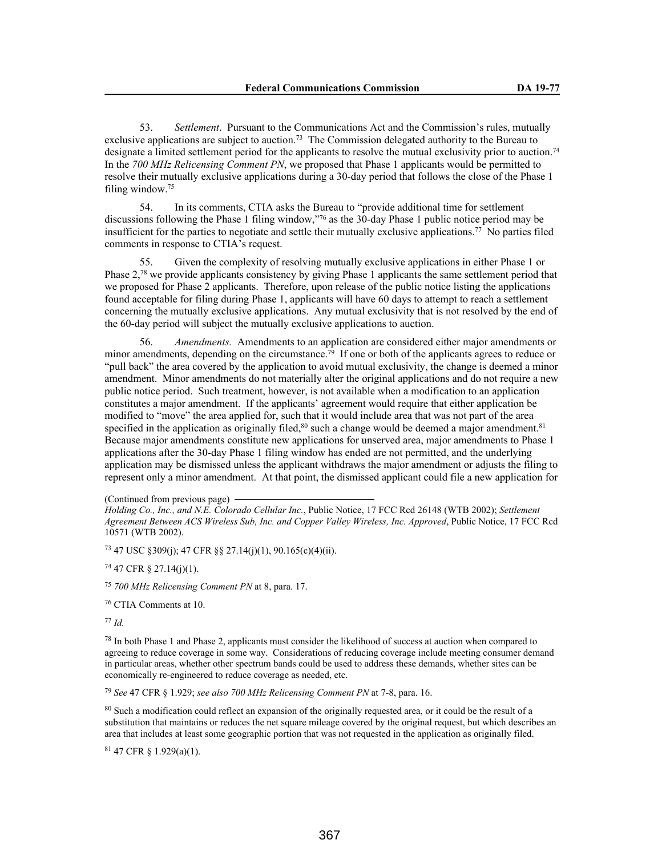53. *Settlement*. Pursuant to the Communications Act and the Commission's rules, mutually exclusive applications are subject to auction.<sup>73</sup> The Commission delegated authority to the Bureau to designate a limited settlement period for the applicants to resolve the mutual exclusivity prior to auction.<sup>74</sup> In the *700 MHz Relicensing Comment PN*, we proposed that Phase 1 applicants would be permitted to resolve their mutually exclusive applications during a 30-day period that follows the close of the Phase 1 filing window.<sup>75</sup>

54. In its comments, CTIA asks the Bureau to "provide additional time for settlement discussions following the Phase 1 filing window,"<sup>76</sup> as the 30-day Phase 1 public notice period may be insufficient for the parties to negotiate and settle their mutually exclusive applications.<sup>77</sup> No parties filed comments in response to CTIA's request.

55. Given the complexity of resolving mutually exclusive applications in either Phase 1 or Phase 2,<sup>78</sup> we provide applicants consistency by giving Phase 1 applicants the same settlement period that we proposed for Phase 2 applicants. Therefore, upon release of the public notice listing the applications found acceptable for filing during Phase 1, applicants will have 60 days to attempt to reach a settlement concerning the mutually exclusive applications. Any mutual exclusivity that is not resolved by the end of the 60-day period will subject the mutually exclusive applications to auction.

56. *Amendments.* Amendments to an application are considered either major amendments or minor amendments, depending on the circumstance.<sup>79</sup> If one or both of the applicants agrees to reduce or "pull back" the area covered by the application to avoid mutual exclusivity, the change is deemed a minor amendment. Minor amendments do not materially alter the original applications and do not require a new public notice period. Such treatment, however, is not available when a modification to an application constitutes a major amendment. If the applicants' agreement would require that either application be modified to "move" the area applied for, such that it would include area that was not part of the area specified in the application as originally filed,<sup>80</sup> such a change would be deemed a major amendment.<sup>81</sup> Because major amendments constitute new applications for unserved area, major amendments to Phase 1 applications after the 30-day Phase 1 filing window has ended are not permitted, and the underlying application may be dismissed unless the applicant withdraws the major amendment or adjusts the filing to represent only a minor amendment. At that point, the dismissed applicant could file a new application for

(Continued from previous page)

<sup>73</sup> 47 USC §309(j); 47 CFR §§ 27.14(j)(1), 90.165(c)(4)(ii).

 $74$  47 CFR  $\S$  27.14(j)(1).

<sup>75</sup> *700 MHz Relicensing Comment PN* at 8, para. 17.

<sup>76</sup> CTIA Comments at 10.

<sup>77</sup> *Id.*

<sup>78</sup> In both Phase 1 and Phase 2, applicants must consider the likelihood of success at auction when compared to agreeing to reduce coverage in some way. Considerations of reducing coverage include meeting consumer demand in particular areas, whether other spectrum bands could be used to address these demands, whether sites can be economically re-engineered to reduce coverage as needed, etc.

<sup>79</sup> *See* 47 CFR § 1.929; *see also 700 MHz Relicensing Comment PN* at 7-8, para. 16.

<sup>80</sup> Such a modification could reflect an expansion of the originally requested area, or it could be the result of a substitution that maintains or reduces the net square mileage covered by the original request, but which describes an area that includes at least some geographic portion that was not requested in the application as originally filed.

<sup>81</sup> 47 CFR § 1.929(a)(1).

*Holding Co., Inc., and N.E. Colorado Cellular Inc.*, Public Notice, 17 FCC Rcd 26148 (WTB 2002); *Settlement Agreement Between ACS Wireless Sub, Inc. and Copper Valley Wireless, Inc. Approved*, Public Notice, 17 FCC Rcd 10571 (WTB 2002).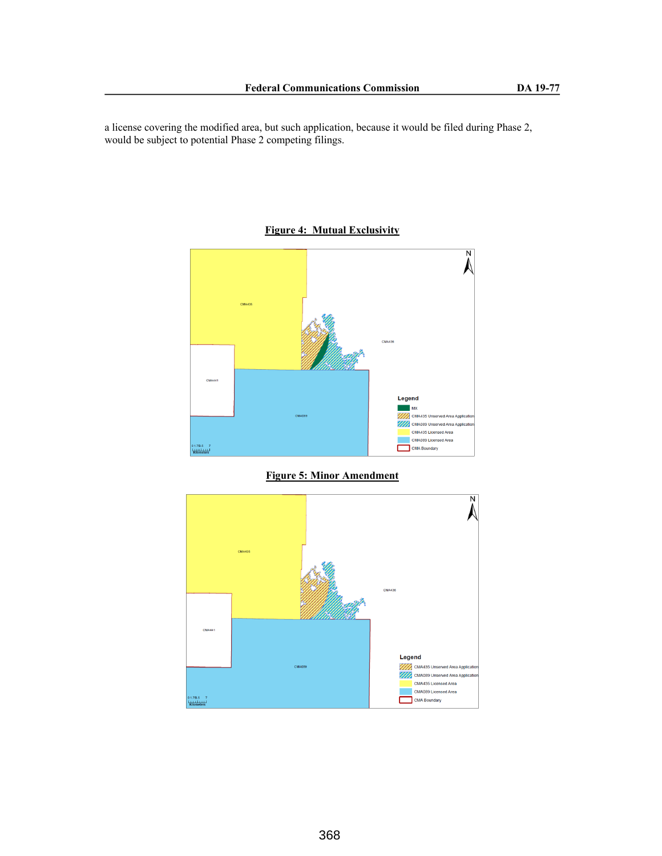a license covering the modified area, but such application, because it would be filed during Phase 2, would be subject to potential Phase 2 competing filings.



**Figure 4: Mutual Exclusivity**



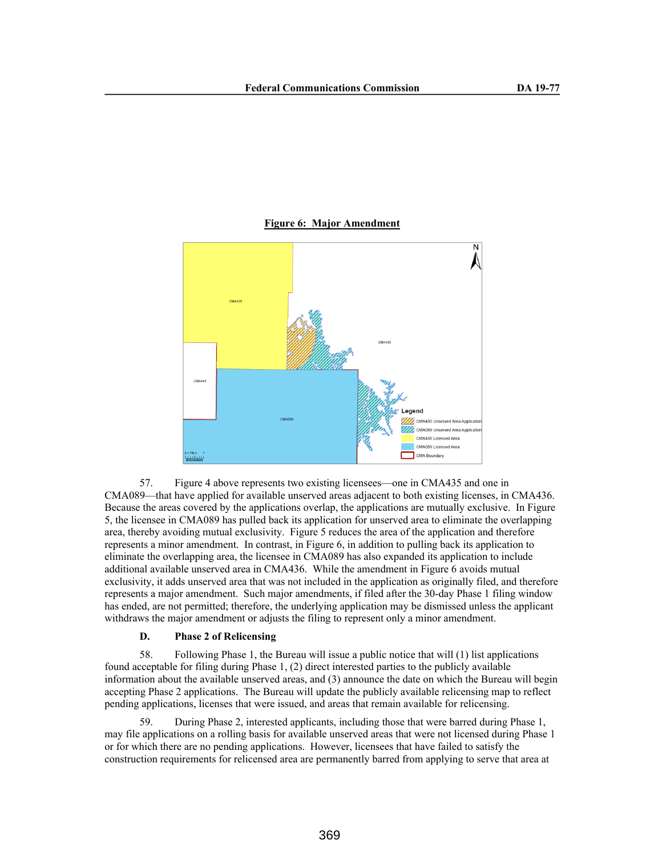### **Figure 6: Major Amendment**



57. Figure 4 above represents two existing licensees—one in CMA435 and one in CMA089—that have applied for available unserved areas adjacent to both existing licenses, in CMA436. Because the areas covered by the applications overlap, the applications are mutually exclusive. In Figure 5, the licensee in CMA089 has pulled back its application for unserved area to eliminate the overlapping area, thereby avoiding mutual exclusivity. Figure 5 reduces the area of the application and therefore represents a minor amendment. In contrast, in Figure 6, in addition to pulling back its application to eliminate the overlapping area, the licensee in CMA089 has also expanded its application to include additional available unserved area in CMA436. While the amendment in Figure 6 avoids mutual exclusivity, it adds unserved area that was not included in the application as originally filed, and therefore represents a major amendment. Such major amendments, if filed after the 30-day Phase 1 filing window has ended, are not permitted; therefore, the underlying application may be dismissed unless the applicant withdraws the major amendment or adjusts the filing to represent only a minor amendment.

# **D. Phase 2 of Relicensing**

58. Following Phase 1, the Bureau will issue a public notice that will (1) list applications found acceptable for filing during Phase 1, (2) direct interested parties to the publicly available information about the available unserved areas, and (3) announce the date on which the Bureau will begin accepting Phase 2 applications. The Bureau will update the publicly available relicensing map to reflect pending applications, licenses that were issued, and areas that remain available for relicensing.

59. During Phase 2, interested applicants, including those that were barred during Phase 1, may file applications on a rolling basis for available unserved areas that were not licensed during Phase 1 or for which there are no pending applications. However, licensees that have failed to satisfy the construction requirements for relicensed area are permanently barred from applying to serve that area at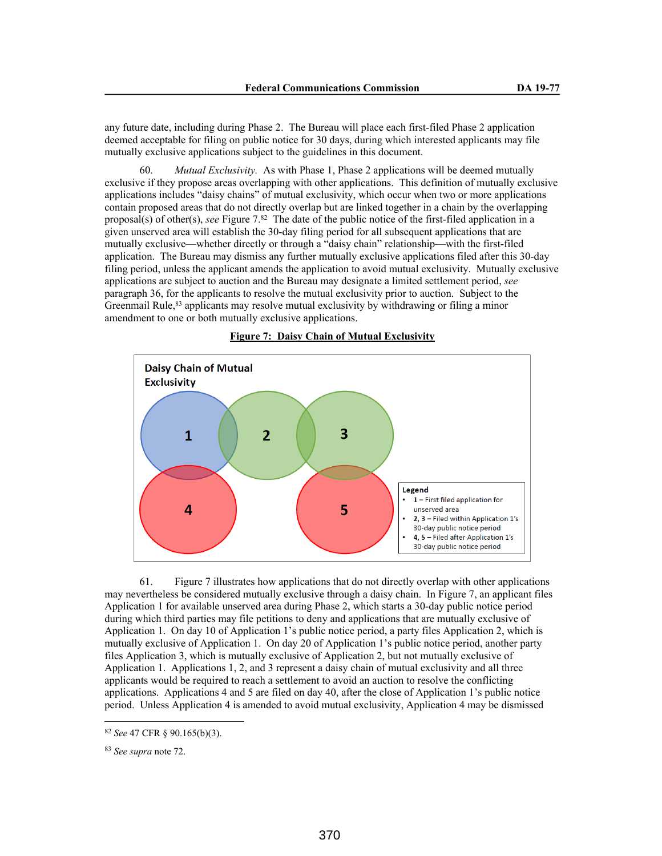any future date, including during Phase 2. The Bureau will place each first-filed Phase 2 application deemed acceptable for filing on public notice for 30 days, during which interested applicants may file mutually exclusive applications subject to the guidelines in this document.

60. *Mutual Exclusivity.* As with Phase 1, Phase 2 applications will be deemed mutually exclusive if they propose areas overlapping with other applications. This definition of mutually exclusive applications includes "daisy chains" of mutual exclusivity, which occur when two or more applications contain proposed areas that do not directly overlap but are linked together in a chain by the overlapping proposal(s) of other(s), *see* Figure 7.<sup>82</sup> The date of the public notice of the first-filed application in a given unserved area will establish the 30-day filing period for all subsequent applications that are mutually exclusive—whether directly or through a "daisy chain" relationship—with the first-filed application. The Bureau may dismiss any further mutually exclusive applications filed after this 30-day filing period, unless the applicant amends the application to avoid mutual exclusivity. Mutually exclusive applications are subject to auction and the Bureau may designate a limited settlement period, *see* paragraph 36, for the applicants to resolve the mutual exclusivity prior to auction. Subject to the Greenmail Rule,  $83$  applicants may resolve mutual exclusivity by withdrawing or filing a minor amendment to one or both mutually exclusive applications.



**Figure 7: Daisy Chain of Mutual Exclusivity**

61. Figure 7 illustrates how applications that do not directly overlap with other applications may nevertheless be considered mutually exclusive through a daisy chain. In Figure 7, an applicant files Application 1 for available unserved area during Phase 2, which starts a 30-day public notice period during which third parties may file petitions to deny and applications that are mutually exclusive of Application 1. On day 10 of Application 1's public notice period, a party files Application 2, which is mutually exclusive of Application 1. On day 20 of Application 1's public notice period, another party files Application 3, which is mutually exclusive of Application 2, but not mutually exclusive of Application 1. Applications 1, 2, and 3 represent a daisy chain of mutual exclusivity and all three applicants would be required to reach a settlement to avoid an auction to resolve the conflicting applications. Applications 4 and 5 are filed on day 40, after the close of Application 1's public notice period. Unless Application 4 is amended to avoid mutual exclusivity, Application 4 may be dismissed

<sup>82</sup> *See* 47 CFR § 90.165(b)(3).

<sup>83</sup> *See supra* note 72.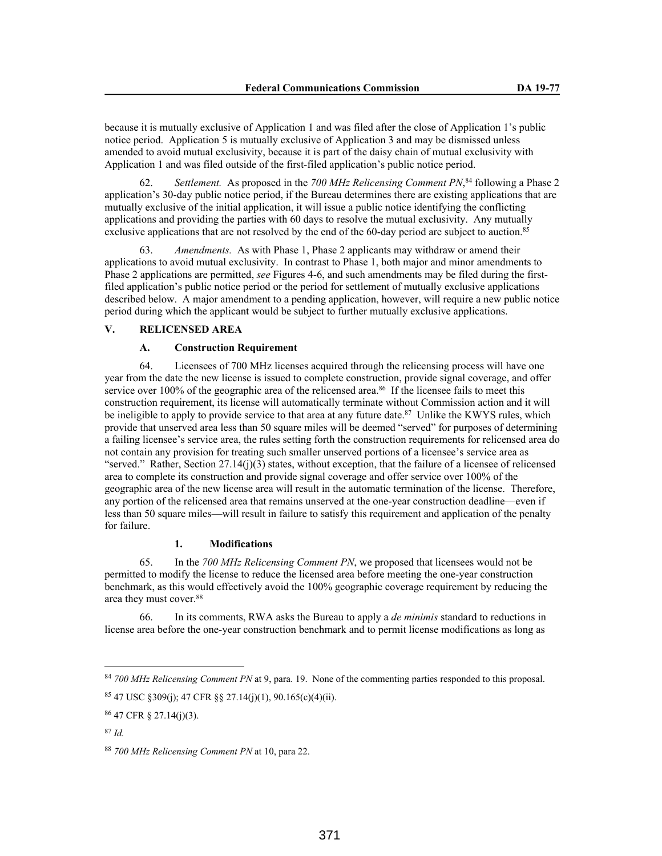because it is mutually exclusive of Application 1 and was filed after the close of Application 1's public notice period. Application 5 is mutually exclusive of Application 3 and may be dismissed unless amended to avoid mutual exclusivity, because it is part of the daisy chain of mutual exclusivity with Application 1 and was filed outside of the first-filed application's public notice period.

62. *Settlement.* As proposed in the *700 MHz Relicensing Comment PN*, <sup>84</sup> following a Phase 2 application's 30-day public notice period, if the Bureau determines there are existing applications that are mutually exclusive of the initial application, it will issue a public notice identifying the conflicting applications and providing the parties with 60 days to resolve the mutual exclusivity. Any mutually exclusive applications that are not resolved by the end of the 60-day period are subject to auction.<sup>85</sup>

63. *Amendments.* As with Phase 1, Phase 2 applicants may withdraw or amend their applications to avoid mutual exclusivity. In contrast to Phase 1, both major and minor amendments to Phase 2 applications are permitted, *see* Figures 4-6, and such amendments may be filed during the firstfiled application's public notice period or the period for settlement of mutually exclusive applications described below. A major amendment to a pending application, however, will require a new public notice period during which the applicant would be subject to further mutually exclusive applications.

# **V. RELICENSED AREA**

### **A. Construction Requirement**

64. Licensees of 700 MHz licenses acquired through the relicensing process will have one year from the date the new license is issued to complete construction, provide signal coverage, and offer service over 100% of the geographic area of the relicensed area.<sup>86</sup> If the licensee fails to meet this construction requirement, its license will automatically terminate without Commission action and it will be ineligible to apply to provide service to that area at any future date.<sup>87</sup> Unlike the KWYS rules, which provide that unserved area less than 50 square miles will be deemed "served" for purposes of determining a failing licensee's service area, the rules setting forth the construction requirements for relicensed area do not contain any provision for treating such smaller unserved portions of a licensee's service area as "served." Rather, Section  $27.14(j)(3)$  states, without exception, that the failure of a licensee of relicensed area to complete its construction and provide signal coverage and offer service over 100% of the geographic area of the new license area will result in the automatic termination of the license. Therefore, any portion of the relicensed area that remains unserved at the one-year construction deadline—even if less than 50 square miles—will result in failure to satisfy this requirement and application of the penalty for failure.

# **1. Modifications**

65. In the *700 MHz Relicensing Comment PN*, we proposed that licensees would not be permitted to modify the license to reduce the licensed area before meeting the one-year construction benchmark, as this would effectively avoid the 100% geographic coverage requirement by reducing the area they must cover.<sup>88</sup>

66. In its comments, RWA asks the Bureau to apply a *de minimis* standard to reductions in license area before the one-year construction benchmark and to permit license modifications as long as

<sup>84</sup> *700 MHz Relicensing Comment PN* at 9, para. 19. None of the commenting parties responded to this proposal.

<sup>85</sup> 47 USC §309(j); 47 CFR §§ 27.14(j)(1), 90.165(c)(4)(ii).

<sup>86</sup> 47 CFR § 27.14(j)(3).

<sup>87</sup> *Id.*

<sup>88</sup> *700 MHz Relicensing Comment PN* at 10, para 22.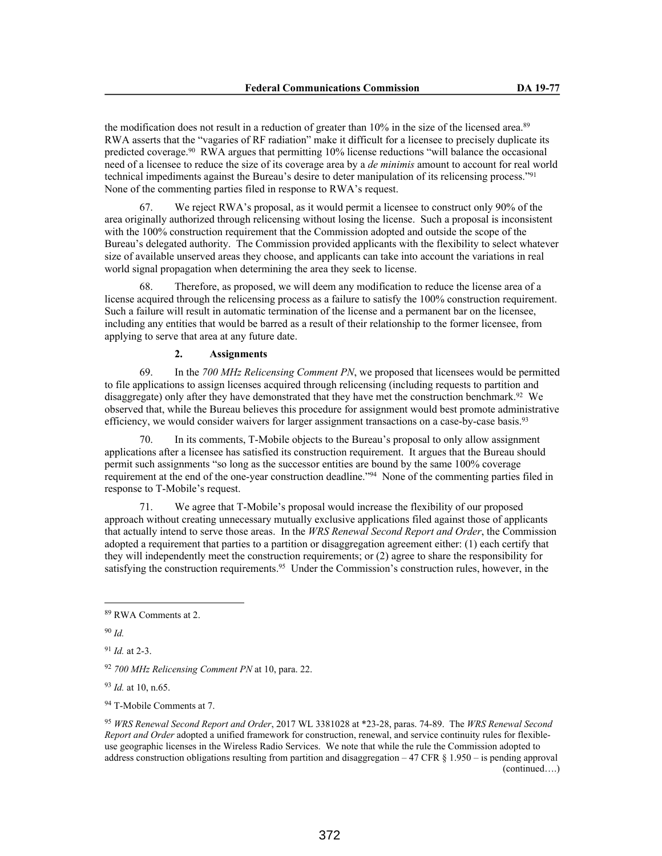the modification does not result in a reduction of greater than 10% in the size of the licensed area.<sup>89</sup> RWA asserts that the "vagaries of RF radiation" make it difficult for a licensee to precisely duplicate its predicted coverage.<sup>90</sup> RWA argues that permitting 10% license reductions "will balance the occasional need of a licensee to reduce the size of its coverage area by a *de minimis* amount to account for real world technical impediments against the Bureau's desire to deter manipulation of its relicensing process."<sup>91</sup> None of the commenting parties filed in response to RWA's request.

67. We reject RWA's proposal, as it would permit a licensee to construct only 90% of the area originally authorized through relicensing without losing the license. Such a proposal is inconsistent with the 100% construction requirement that the Commission adopted and outside the scope of the Bureau's delegated authority. The Commission provided applicants with the flexibility to select whatever size of available unserved areas they choose, and applicants can take into account the variations in real world signal propagation when determining the area they seek to license.

68. Therefore, as proposed, we will deem any modification to reduce the license area of a license acquired through the relicensing process as a failure to satisfy the 100% construction requirement. Such a failure will result in automatic termination of the license and a permanent bar on the licensee, including any entities that would be barred as a result of their relationship to the former licensee, from applying to serve that area at any future date.

## **2. Assignments**

69. In the *700 MHz Relicensing Comment PN*, we proposed that licensees would be permitted to file applications to assign licenses acquired through relicensing (including requests to partition and disaggregate) only after they have demonstrated that they have met the construction benchmark.<sup>92</sup> We observed that, while the Bureau believes this procedure for assignment would best promote administrative efficiency, we would consider waivers for larger assignment transactions on a case-by-case basis.<sup>93</sup>

70. In its comments, T-Mobile objects to the Bureau's proposal to only allow assignment applications after a licensee has satisfied its construction requirement. It argues that the Bureau should permit such assignments "so long as the successor entities are bound by the same 100% coverage requirement at the end of the one-year construction deadline."<sup>94</sup> None of the commenting parties filed in response to T-Mobile's request.

71. We agree that T-Mobile's proposal would increase the flexibility of our proposed approach without creating unnecessary mutually exclusive applications filed against those of applicants that actually intend to serve those areas. In the *WRS Renewal Second Report and Order*, the Commission adopted a requirement that parties to a partition or disaggregation agreement either: (1) each certify that they will independently meet the construction requirements; or (2) agree to share the responsibility for satisfying the construction requirements.<sup>95</sup> Under the Commission's construction rules, however, in the

<sup>94</sup> T-Mobile Comments at 7.

<sup>89</sup> RWA Comments at 2.

<sup>90</sup> *Id.*

<sup>91</sup> *Id.* at 2-3.

<sup>92</sup> *700 MHz Relicensing Comment PN* at 10, para. 22.

<sup>93</sup> *Id.* at 10, n.65.

<sup>95</sup> *WRS Renewal Second Report and Order*, 2017 WL 3381028 at \*23-28, paras. 74-89. The *WRS Renewal Second Report and Order* adopted a unified framework for construction, renewal, and service continuity rules for flexibleuse geographic licenses in the Wireless Radio Services. We note that while the rule the Commission adopted to address construction obligations resulting from partition and disaggregation – 47 CFR § 1.950 – is pending approval (continued….)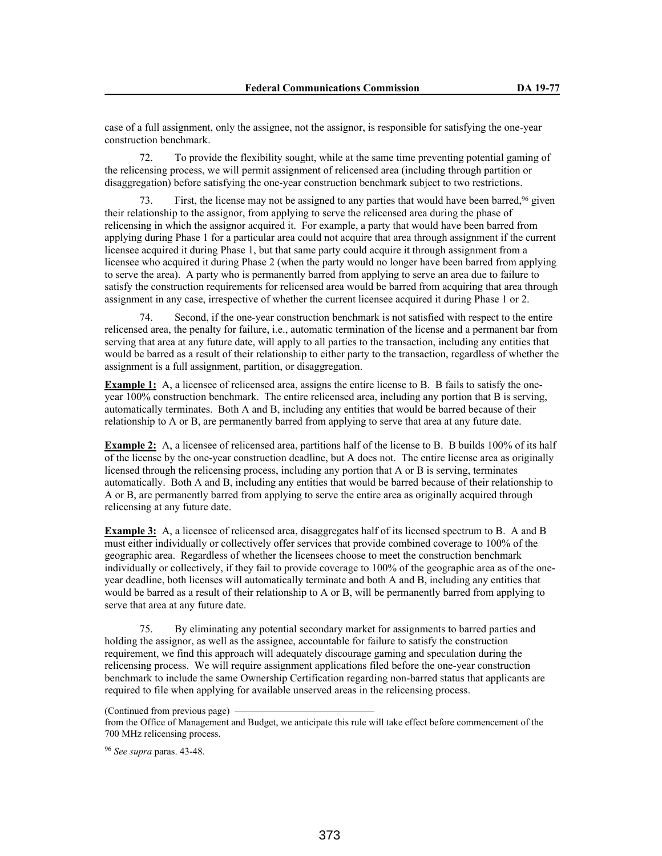case of a full assignment, only the assignee, not the assignor, is responsible for satisfying the one-year construction benchmark.

72. To provide the flexibility sought, while at the same time preventing potential gaming of the relicensing process, we will permit assignment of relicensed area (including through partition or disaggregation) before satisfying the one-year construction benchmark subject to two restrictions.

First, the license may not be assigned to any parties that would have been barred,<sup>96</sup> given their relationship to the assignor, from applying to serve the relicensed area during the phase of relicensing in which the assignor acquired it. For example, a party that would have been barred from applying during Phase 1 for a particular area could not acquire that area through assignment if the current licensee acquired it during Phase 1, but that same party could acquire it through assignment from a licensee who acquired it during Phase 2 (when the party would no longer have been barred from applying to serve the area). A party who is permanently barred from applying to serve an area due to failure to satisfy the construction requirements for relicensed area would be barred from acquiring that area through assignment in any case, irrespective of whether the current licensee acquired it during Phase 1 or 2.

Second, if the one-year construction benchmark is not satisfied with respect to the entire relicensed area, the penalty for failure, i.e., automatic termination of the license and a permanent bar from serving that area at any future date, will apply to all parties to the transaction, including any entities that would be barred as a result of their relationship to either party to the transaction, regardless of whether the assignment is a full assignment, partition, or disaggregation.

**Example 1:** A, a licensee of relicensed area, assigns the entire license to B. B fails to satisfy the oneyear 100% construction benchmark. The entire relicensed area, including any portion that B is serving, automatically terminates. Both A and B, including any entities that would be barred because of their relationship to A or B, are permanently barred from applying to serve that area at any future date.

**Example 2:** A, a licensee of relicensed area, partitions half of the license to B. B builds 100% of its half of the license by the one-year construction deadline, but A does not. The entire license area as originally licensed through the relicensing process, including any portion that A or B is serving, terminates automatically. Both A and B, including any entities that would be barred because of their relationship to A or B, are permanently barred from applying to serve the entire area as originally acquired through relicensing at any future date.

**Example 3:** A, a licensee of relicensed area, disaggregates half of its licensed spectrum to B. A and B must either individually or collectively offer services that provide combined coverage to 100% of the geographic area. Regardless of whether the licensees choose to meet the construction benchmark individually or collectively, if they fail to provide coverage to 100% of the geographic area as of the oneyear deadline, both licenses will automatically terminate and both A and B, including any entities that would be barred as a result of their relationship to A or B, will be permanently barred from applying to serve that area at any future date.

75. By eliminating any potential secondary market for assignments to barred parties and holding the assignor, as well as the assignee, accountable for failure to satisfy the construction requirement, we find this approach will adequately discourage gaming and speculation during the relicensing process. We will require assignment applications filed before the one-year construction benchmark to include the same Ownership Certification regarding non-barred status that applicants are required to file when applying for available unserved areas in the relicensing process.

(Continued from previous page)

from the Office of Management and Budget, we anticipate this rule will take effect before commencement of the 700 MHz relicensing process.

<sup>96</sup> *See supra* paras. 43-48.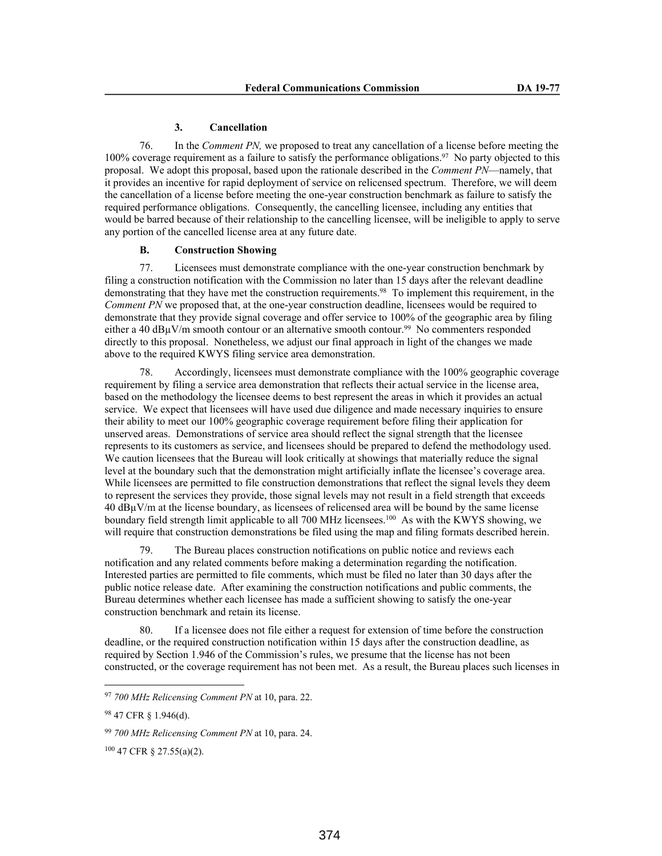#### **3. Cancellation**

76. In the *Comment PN,* we proposed to treat any cancellation of a license before meeting the 100% coverage requirement as a failure to satisfy the performance obligations.<sup>97</sup> No party objected to this proposal. We adopt this proposal, based upon the rationale described in the *Comment PN*—namely, that it provides an incentive for rapid deployment of service on relicensed spectrum. Therefore, we will deem the cancellation of a license before meeting the one-year construction benchmark as failure to satisfy the required performance obligations. Consequently, the cancelling licensee, including any entities that would be barred because of their relationship to the cancelling licensee, will be ineligible to apply to serve any portion of the cancelled license area at any future date.

# **B. Construction Showing**

77. Licensees must demonstrate compliance with the one-year construction benchmark by filing a construction notification with the Commission no later than 15 days after the relevant deadline demonstrating that they have met the construction requirements.<sup>98</sup> To implement this requirement, in the *Comment PN* we proposed that, at the one-year construction deadline, licensees would be required to demonstrate that they provide signal coverage and offer service to 100% of the geographic area by filing either a 40 dB $\mu$ V/m smooth contour or an alternative smooth contour.<sup>99</sup> No commenters responded directly to this proposal. Nonetheless, we adjust our final approach in light of the changes we made above to the required KWYS filing service area demonstration.

78. Accordingly, licensees must demonstrate compliance with the 100% geographic coverage requirement by filing a service area demonstration that reflects their actual service in the license area, based on the methodology the licensee deems to best represent the areas in which it provides an actual service. We expect that licensees will have used due diligence and made necessary inquiries to ensure their ability to meet our 100% geographic coverage requirement before filing their application for unserved areas. Demonstrations of service area should reflect the signal strength that the licensee represents to its customers as service, and licensees should be prepared to defend the methodology used. We caution licensees that the Bureau will look critically at showings that materially reduce the signal level at the boundary such that the demonstration might artificially inflate the licensee's coverage area. While licensees are permitted to file construction demonstrations that reflect the signal levels they deem to represent the services they provide, those signal levels may not result in a field strength that exceeds 40 dBµV/m at the license boundary, as licensees of relicensed area will be bound by the same license boundary field strength limit applicable to all 700 MHz licensees.<sup>100</sup> As with the KWYS showing, we will require that construction demonstrations be filed using the map and filing formats described herein.

79. The Bureau places construction notifications on public notice and reviews each notification and any related comments before making a determination regarding the notification. Interested parties are permitted to file comments, which must be filed no later than 30 days after the public notice release date. After examining the construction notifications and public comments, the Bureau determines whether each licensee has made a sufficient showing to satisfy the one-year construction benchmark and retain its license.

80. If a licensee does not file either a request for extension of time before the construction deadline, or the required construction notification within 15 days after the construction deadline, as required by Section 1.946 of the Commission's rules, we presume that the license has not been constructed, or the coverage requirement has not been met. As a result, the Bureau places such licenses in

<sup>97</sup> *700 MHz Relicensing Comment PN* at 10, para. 22.

<sup>98</sup> 47 CFR § 1.946(d).

<sup>99</sup> *700 MHz Relicensing Comment PN* at 10, para. 24.

<sup>100</sup> 47 CFR § 27.55(a)(2).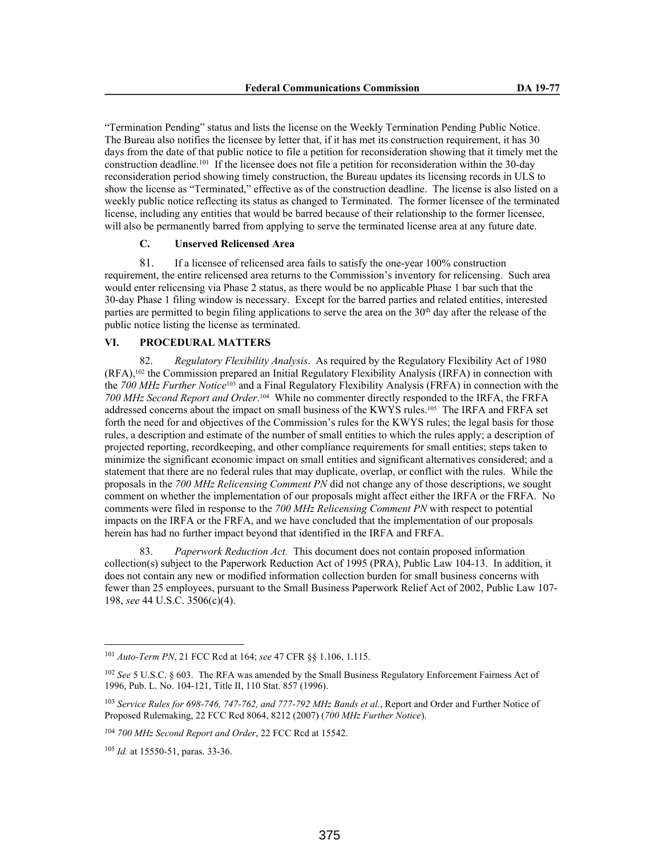"Termination Pending" status and lists the license on the Weekly Termination Pending Public Notice. The Bureau also notifies the licensee by letter that, if it has met its construction requirement, it has 30 days from the date of that public notice to file a petition for reconsideration showing that it timely met the construction deadline.<sup>101</sup> If the licensee does not file a petition for reconsideration within the 30-day reconsideration period showing timely construction, the Bureau updates its licensing records in ULS to show the license as "Terminated," effective as of the construction deadline. The license is also listed on a weekly public notice reflecting its status as changed to Terminated. The former licensee of the terminated license, including any entities that would be barred because of their relationship to the former licensee, will also be permanently barred from applying to serve the terminated license area at any future date.

# **C. Unserved Relicensed Area**

81. If a licensee of relicensed area fails to satisfy the one-year 100% construction requirement, the entire relicensed area returns to the Commission's inventory for relicensing. Such area would enter relicensing via Phase 2 status, as there would be no applicable Phase 1 bar such that the 30-day Phase 1 filing window is necessary. Except for the barred parties and related entities, interested parties are permitted to begin filing applications to serve the area on the  $30<sup>th</sup>$  day after the release of the public notice listing the license as terminated.

### **VI. PROCEDURAL MATTERS**

82. *Regulatory Flexibility Analysis*. As required by the Regulatory Flexibility Act of 1980 (RFA),102 the Commission prepared an Initial Regulatory Flexibility Analysis (IRFA) in connection with the *700 MHz Further Notice*103 and a Final Regulatory Flexibility Analysis (FRFA) in connection with the *700 MHz Second Report and Order*. <sup>104</sup> While no commenter directly responded to the IRFA, the FRFA addressed concerns about the impact on small business of the KWYS rules.105 The IRFA and FRFA set forth the need for and objectives of the Commission's rules for the KWYS rules; the legal basis for those rules, a description and estimate of the number of small entities to which the rules apply; a description of projected reporting, recordkeeping, and other compliance requirements for small entities; steps taken to minimize the significant economic impact on small entities and significant alternatives considered; and a statement that there are no federal rules that may duplicate, overlap, or conflict with the rules. While the proposals in the *700 MHz Relicensing Comment PN* did not change any of those descriptions, we sought comment on whether the implementation of our proposals might affect either the IRFA or the FRFA. No comments were filed in response to the *700 MHz Relicensing Comment PN* with respect to potential impacts on the IRFA or the FRFA, and we have concluded that the implementation of our proposals herein has had no further impact beyond that identified in the IRFA and FRFA.

83. *Paperwork Reduction Act.* This document does not contain proposed information collection(s) subject to the Paperwork Reduction Act of 1995 (PRA), Public Law 104-13. In addition, it does not contain any new or modified information collection burden for small business concerns with fewer than 25 employees, pursuant to the Small Business Paperwork Relief Act of 2002, Public Law 107- 198, *see* 44 U.S.C. 3506(c)(4).

<sup>101</sup> *Auto-Term PN*, 21 FCC Rcd at 164; *see* 47 CFR §§ 1.106, 1.115.

<sup>102</sup> *See* 5 U.S.C. § 603. The RFA was amended by the Small Business Regulatory Enforcement Fairness Act of 1996, Pub. L. No. 104-121, Title II, 110 Stat. 857 (1996).

<sup>103</sup> *Service Rules for 698-746, 747-762, and 777-792 MHz Bands et al.*, Report and Order and Further Notice of Proposed Rulemaking, 22 FCC Rcd 8064, 8212 (2007) (*700 MHz Further Notice*).

<sup>104</sup> *700 MHz Second Report and Order*, 22 FCC Rcd at 15542.

<sup>105</sup> *Id.* at 15550-51, paras. 33-36.